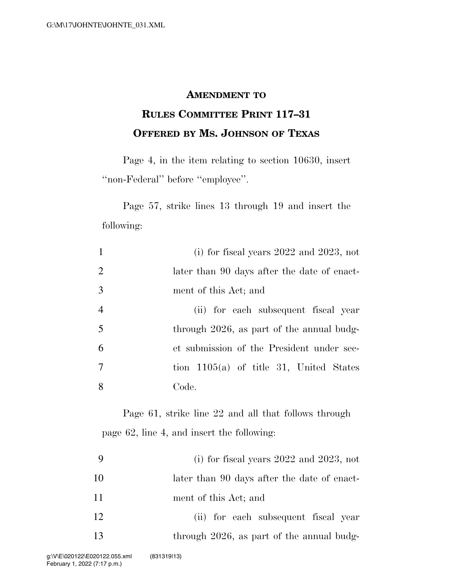### **AMENDMENT TO**

# **RULES COMMITTEE PRINT 117–31 OFFERED BY MS. JOHNSON OF TEXAS**

Page 4, in the item relating to section 10630, insert ''non-Federal'' before ''employee''.

Page 57, strike lines 13 through 19 and insert the following:

| $\mathbf{1}$             | (i) for fiscal years $2022$ and $2023$ , not |
|--------------------------|----------------------------------------------|
| $\overline{2}$           | later than 90 days after the date of enact-  |
| 3                        | ment of this Act; and                        |
| $\overline{4}$           | (ii) for each subsequent fiscal year         |
| 5                        | through 2026, as part of the annual budg-    |
| 6                        | et submission of the President under sec-    |
| $\overline{\mathcal{L}}$ | tion $1105(a)$ of title 31, United States    |
| 8                        | Code.                                        |

Page 61, strike line 22 and all that follows through page 62, line 4, and insert the following:

|    | (i) for fiscal years $2022$ and $2023$ , not |
|----|----------------------------------------------|
| 10 | later than 90 days after the date of enact-  |
| 11 | ment of this Act; and                        |
| 12 | (ii) for each subsequent fiscal year         |
| 13 | through 2026, as part of the annual budg-    |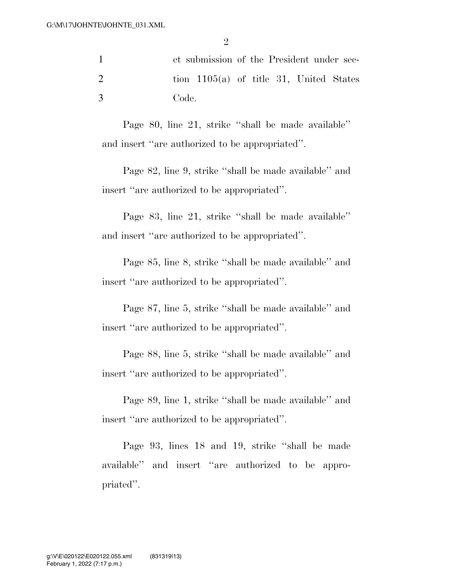1 et submission of the President under sec-2 tion 1105(a) of title 31, United States 3 Code.

Page 80, line 21, strike ''shall be made available'' and insert ''are authorized to be appropriated''.

Page 82, line 9, strike ''shall be made available'' and insert ''are authorized to be appropriated''.

Page 83, line 21, strike ''shall be made available'' and insert ''are authorized to be appropriated''.

Page 85, line 8, strike ''shall be made available'' and insert ''are authorized to be appropriated''.

Page 87, line 5, strike ''shall be made available'' and insert ''are authorized to be appropriated''.

Page 88, line 5, strike ''shall be made available'' and insert ''are authorized to be appropriated''.

Page 89, line 1, strike ''shall be made available'' and insert ''are authorized to be appropriated''.

Page 93, lines 18 and 19, strike ''shall be made available'' and insert ''are authorized to be appropriated''.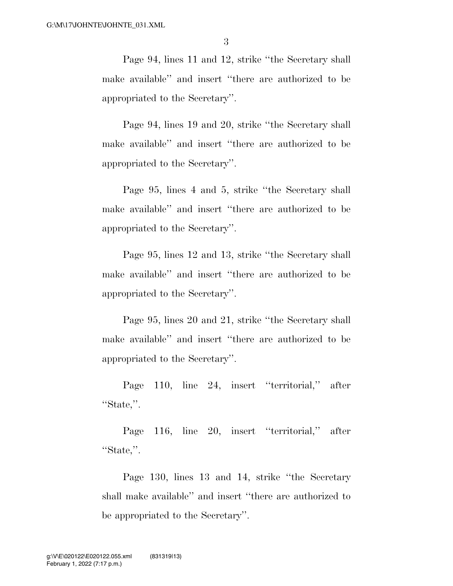Page 94, lines 11 and 12, strike ''the Secretary shall make available'' and insert ''there are authorized to be appropriated to the Secretary''.

Page 94, lines 19 and 20, strike ''the Secretary shall make available'' and insert ''there are authorized to be appropriated to the Secretary''.

Page 95, lines 4 and 5, strike ''the Secretary shall make available'' and insert ''there are authorized to be appropriated to the Secretary''.

Page 95, lines 12 and 13, strike ''the Secretary shall make available'' and insert ''there are authorized to be appropriated to the Secretary''.

Page 95, lines 20 and 21, strike ''the Secretary shall make available'' and insert ''there are authorized to be appropriated to the Secretary''.

Page 110, line 24, insert ''territorial,'' after ''State,''.

Page 116, line 20, insert ''territorial,'' after ''State,''.

Page 130, lines 13 and 14, strike ''the Secretary shall make available'' and insert ''there are authorized to be appropriated to the Secretary''.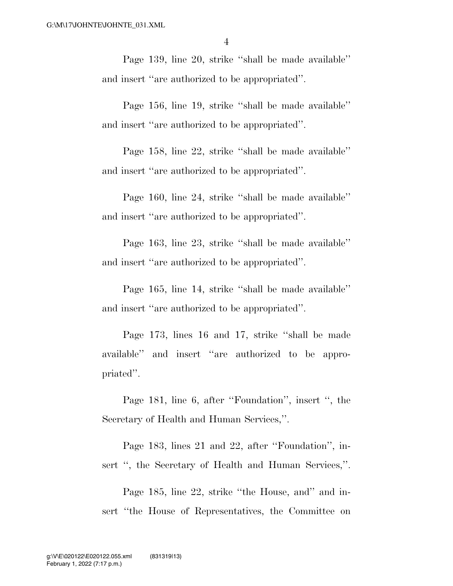Page 139, line 20, strike ''shall be made available'' and insert ''are authorized to be appropriated''.

Page 156, line 19, strike ''shall be made available'' and insert ''are authorized to be appropriated''.

Page 158, line 22, strike ''shall be made available'' and insert ''are authorized to be appropriated''.

Page 160, line 24, strike ''shall be made available'' and insert ''are authorized to be appropriated''.

Page 163, line 23, strike ''shall be made available'' and insert ''are authorized to be appropriated''.

Page 165, line 14, strike ''shall be made available'' and insert ''are authorized to be appropriated''.

Page 173, lines 16 and 17, strike ''shall be made available'' and insert ''are authorized to be appropriated''.

Page 181, line 6, after ''Foundation'', insert '', the Secretary of Health and Human Services,''.

Page 183, lines 21 and 22, after ''Foundation'', insert ", the Secretary of Health and Human Services,".

Page 185, line 22, strike ''the House, and'' and insert ''the House of Representatives, the Committee on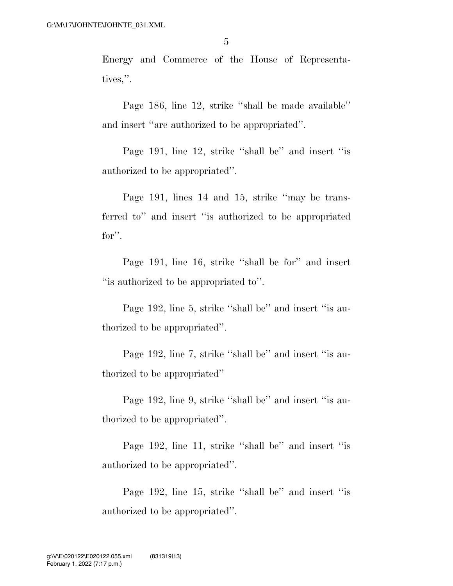Energy and Commerce of the House of Representatives,''.

Page 186, line 12, strike ''shall be made available'' and insert ''are authorized to be appropriated''.

Page 191, line 12, strike "shall be" and insert "is authorized to be appropriated''.

Page 191, lines 14 and 15, strike "may be transferred to'' and insert ''is authorized to be appropriated for''.

Page 191, line 16, strike ''shall be for'' and insert ''is authorized to be appropriated to''.

Page 192, line 5, strike "shall be" and insert "is authorized to be appropriated''.

Page 192, line 7, strike "shall be" and insert "is authorized to be appropriated''

Page 192, line 9, strike "shall be" and insert "is authorized to be appropriated''.

Page 192, line 11, strike "shall be" and insert "is authorized to be appropriated''.

Page 192, line 15, strike "shall be" and insert "is authorized to be appropriated''.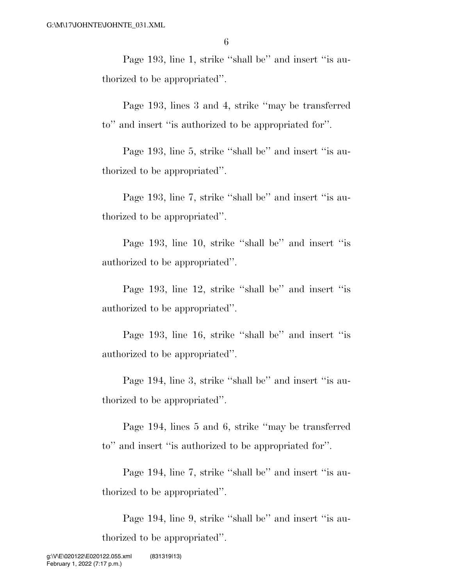Page 193, line 1, strike "shall be" and insert "is authorized to be appropriated''.

Page 193, lines 3 and 4, strike ''may be transferred to'' and insert ''is authorized to be appropriated for''.

Page 193, line 5, strike ''shall be'' and insert ''is authorized to be appropriated''.

Page 193, line 7, strike "shall be" and insert "is authorized to be appropriated''.

Page 193, line 10, strike ''shall be'' and insert ''is authorized to be appropriated''.

Page 193, line 12, strike ''shall be'' and insert ''is authorized to be appropriated''.

Page 193, line 16, strike ''shall be'' and insert ''is authorized to be appropriated''.

Page 194, line 3, strike "shall be" and insert "is authorized to be appropriated''.

Page 194, lines 5 and 6, strike ''may be transferred to'' and insert ''is authorized to be appropriated for''.

Page 194, line 7, strike "shall be" and insert "is authorized to be appropriated''.

Page 194, line 9, strike "shall be" and insert "is authorized to be appropriated''.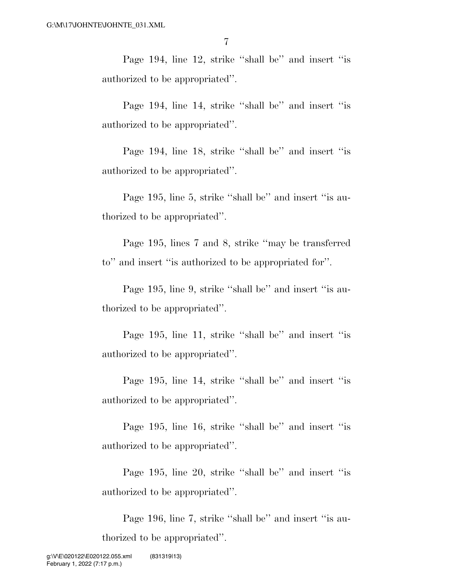Page 194, line 12, strike ''shall be'' and insert ''is authorized to be appropriated''.

Page 194, line 14, strike "shall be" and insert "is authorized to be appropriated''.

Page 194, line 18, strike ''shall be'' and insert ''is authorized to be appropriated''.

Page 195, line 5, strike "shall be" and insert "is authorized to be appropriated''.

Page 195, lines 7 and 8, strike ''may be transferred to'' and insert ''is authorized to be appropriated for''.

Page 195, line 9, strike "shall be" and insert "is authorized to be appropriated''.

Page 195, line 11, strike "shall be" and insert "is authorized to be appropriated''.

Page 195, line 14, strike ''shall be'' and insert ''is authorized to be appropriated''.

Page 195, line 16, strike ''shall be'' and insert ''is authorized to be appropriated''.

Page 195, line 20, strike ''shall be'' and insert ''is authorized to be appropriated''.

Page 196, line 7, strike "shall be" and insert "is authorized to be appropriated''.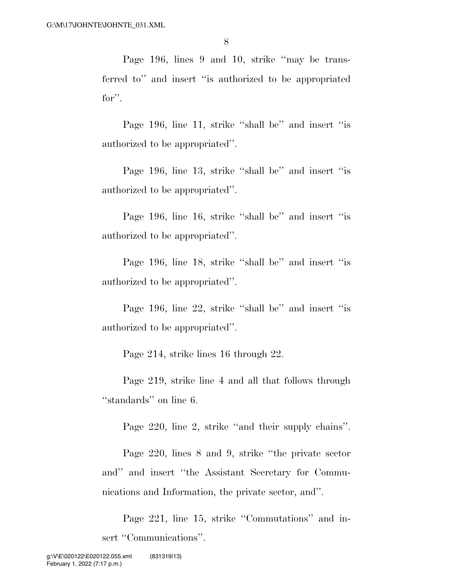Page 196, lines 9 and 10, strike ''may be transferred to'' and insert ''is authorized to be appropriated for''.

Page 196, line 11, strike "shall be" and insert "is authorized to be appropriated''.

Page 196, line 13, strike ''shall be'' and insert ''is authorized to be appropriated''.

Page 196, line 16, strike ''shall be'' and insert ''is authorized to be appropriated''.

Page 196, line 18, strike "shall be" and insert "is authorized to be appropriated''.

Page 196, line 22, strike ''shall be'' and insert ''is authorized to be appropriated''.

Page 214, strike lines 16 through 22.

Page 219, strike line 4 and all that follows through "standards" on line 6.

Page 220, line 2, strike ''and their supply chains''.

Page 220, lines 8 and 9, strike ''the private sector and'' and insert ''the Assistant Secretary for Communications and Information, the private sector, and''.

Page 221, line 15, strike ''Commutations'' and insert "Communications".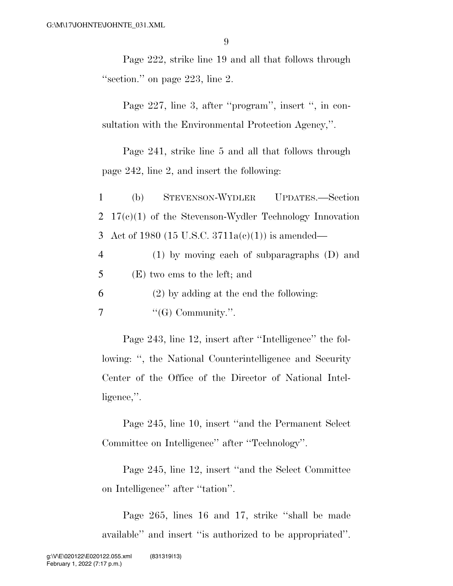Page 222, strike line 19 and all that follows through ''section.'' on page 223, line 2.

Page 227, line 3, after "program", insert ", in consultation with the Environmental Protection Agency,''.

Page 241, strike line 5 and all that follows through page 242, line 2, and insert the following:

1 (b) STEVENSON-WYDLER UPDATES.—Section 2 17(c)(1) of the Stevenson-Wydler Technology Innovation 3 Act of 1980 (15 U.S.C. 3711a(c)(1)) is amended—

4 (1) by moving each of subparagraphs (D) and 5 (E) two ems to the left; and

6 (2) by adding at the end the following:

 $7 \qquad \qquad$  "(G) Community.".

Page 243, line 12, insert after "Intelligence" the following: '', the National Counterintelligence and Security Center of the Office of the Director of National Intelligence,''.

Page 245, line 10, insert ''and the Permanent Select Committee on Intelligence'' after ''Technology''.

Page 245, line 12, insert ''and the Select Committee on Intelligence'' after ''tation''.

Page 265, lines 16 and 17, strike ''shall be made available'' and insert ''is authorized to be appropriated''.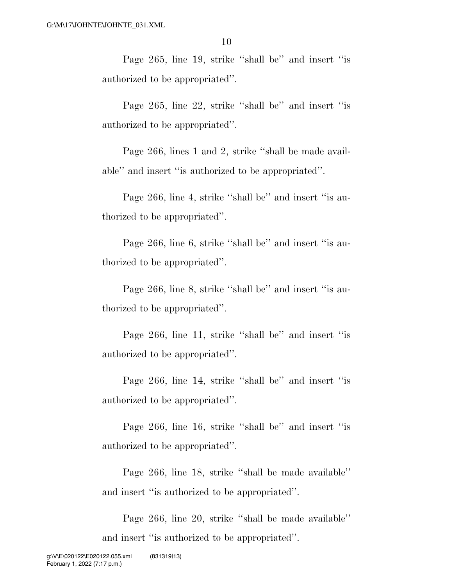Page 265, line 19, strike "shall be" and insert "is authorized to be appropriated''.

Page 265, line 22, strike "shall be" and insert "is authorized to be appropriated''.

Page 266, lines 1 and 2, strike ''shall be made available'' and insert ''is authorized to be appropriated''.

Page 266, line 4, strike "shall be" and insert "is authorized to be appropriated''.

Page 266, line 6, strike "shall be" and insert "is authorized to be appropriated''.

Page 266, line 8, strike "shall be" and insert "is authorized to be appropriated''.

Page 266, line 11, strike "shall be" and insert "is authorized to be appropriated''.

Page 266, line 14, strike "shall be" and insert "is authorized to be appropriated''.

Page 266, line 16, strike ''shall be'' and insert ''is authorized to be appropriated''.

Page 266, line 18, strike ''shall be made available'' and insert ''is authorized to be appropriated''.

Page 266, line 20, strike ''shall be made available'' and insert ''is authorized to be appropriated''.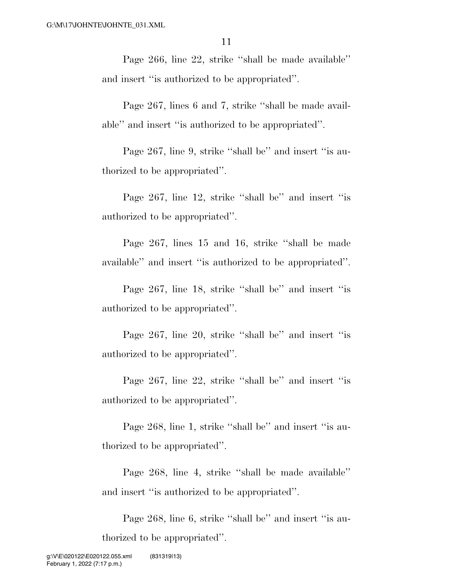Page 266, line 22, strike ''shall be made available'' and insert ''is authorized to be appropriated''.

Page 267, lines 6 and 7, strike ''shall be made available'' and insert ''is authorized to be appropriated''.

Page 267, line 9, strike "shall be" and insert "is authorized to be appropriated''.

Page 267, line 12, strike "shall be" and insert "is authorized to be appropriated''.

Page 267, lines 15 and 16, strike ''shall be made available'' and insert ''is authorized to be appropriated''.

Page 267, line 18, strike "shall be" and insert "is authorized to be appropriated''.

Page 267, line 20, strike "shall be" and insert "is authorized to be appropriated''.

Page 267, line 22, strike ''shall be'' and insert ''is authorized to be appropriated''.

Page 268, line 1, strike "shall be" and insert "is authorized to be appropriated''.

Page 268, line 4, strike ''shall be made available'' and insert ''is authorized to be appropriated''.

Page 268, line 6, strike ''shall be'' and insert ''is authorized to be appropriated''.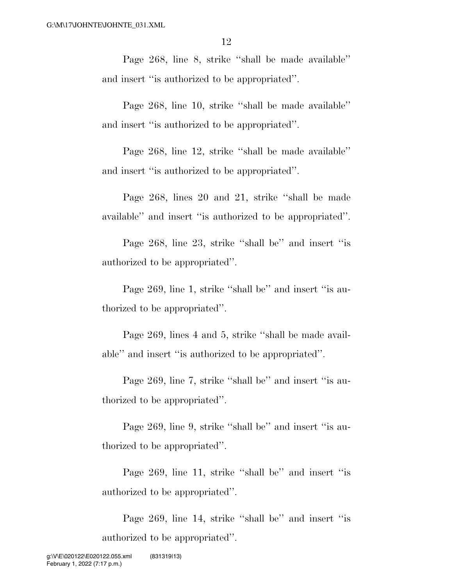Page 268, line 8, strike ''shall be made available'' and insert ''is authorized to be appropriated''.

Page 268, line 10, strike ''shall be made available'' and insert ''is authorized to be appropriated''.

Page 268, line 12, strike ''shall be made available'' and insert ''is authorized to be appropriated''.

Page 268, lines 20 and 21, strike ''shall be made available'' and insert ''is authorized to be appropriated''.

Page 268, line 23, strike ''shall be'' and insert ''is authorized to be appropriated''.

Page 269, line 1, strike "shall be" and insert "is authorized to be appropriated''.

Page 269, lines 4 and 5, strike ''shall be made available'' and insert ''is authorized to be appropriated''.

Page 269, line 7, strike "shall be" and insert "is authorized to be appropriated''.

Page 269, line 9, strike "shall be" and insert "is authorized to be appropriated''.

Page 269, line 11, strike "shall be" and insert "is authorized to be appropriated''.

Page 269, line 14, strike "shall be" and insert "is authorized to be appropriated''.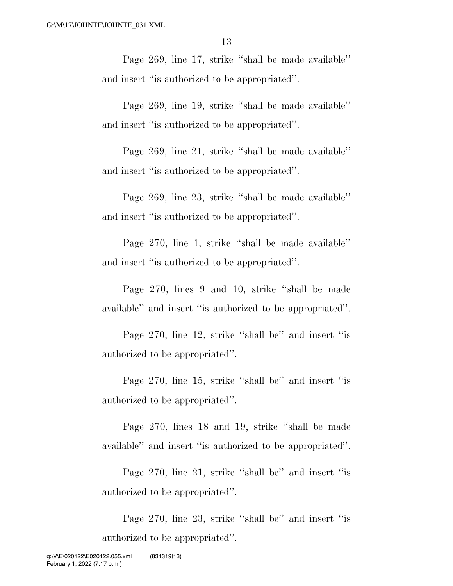Page 269, line 17, strike ''shall be made available'' and insert ''is authorized to be appropriated''.

Page 269, line 19, strike ''shall be made available'' and insert ''is authorized to be appropriated''.

Page 269, line 21, strike ''shall be made available'' and insert ''is authorized to be appropriated''.

Page 269, line 23, strike ''shall be made available'' and insert ''is authorized to be appropriated''.

Page 270, line 1, strike ''shall be made available'' and insert ''is authorized to be appropriated''.

Page 270, lines 9 and 10, strike ''shall be made available'' and insert ''is authorized to be appropriated''.

Page 270, line 12, strike "shall be" and insert "is authorized to be appropriated''.

Page 270, line 15, strike "shall be" and insert "is authorized to be appropriated''.

Page 270, lines 18 and 19, strike ''shall be made available'' and insert ''is authorized to be appropriated''.

Page 270, line 21, strike "shall be" and insert "is authorized to be appropriated''.

Page 270, line 23, strike ''shall be'' and insert ''is authorized to be appropriated''.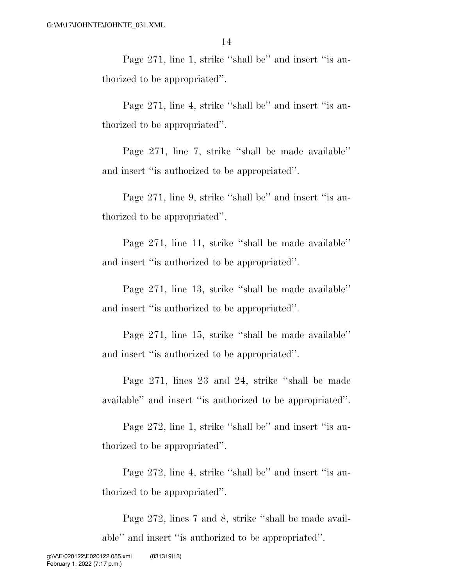Page 271, line 1, strike "shall be" and insert "is authorized to be appropriated''.

Page 271, line 4, strike "shall be" and insert "is authorized to be appropriated''.

Page 271, line 7, strike ''shall be made available'' and insert ''is authorized to be appropriated''.

Page 271, line 9, strike "shall be" and insert "is authorized to be appropriated''.

Page 271, line 11, strike ''shall be made available'' and insert ''is authorized to be appropriated''.

Page 271, line 13, strike ''shall be made available'' and insert ''is authorized to be appropriated''.

Page 271, line 15, strike ''shall be made available'' and insert ''is authorized to be appropriated''.

Page 271, lines 23 and 24, strike ''shall be made available'' and insert ''is authorized to be appropriated''.

Page 272, line 1, strike "shall be" and insert "is authorized to be appropriated''.

Page 272, line 4, strike "shall be" and insert "is authorized to be appropriated''.

Page 272, lines 7 and 8, strike ''shall be made available'' and insert ''is authorized to be appropriated''.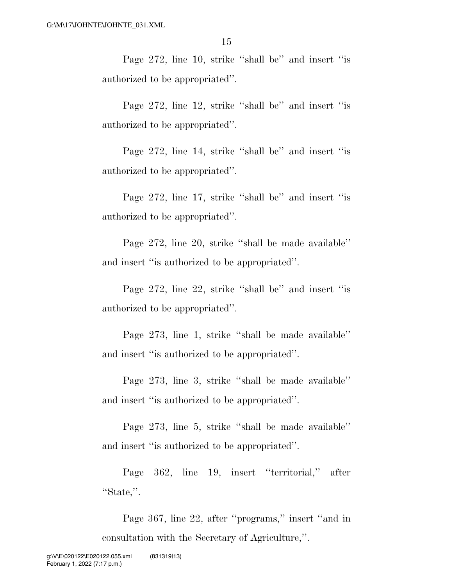Page 272, line 10, strike "shall be" and insert "is authorized to be appropriated''.

Page 272, line 12, strike "shall be" and insert "is authorized to be appropriated''.

Page 272, line 14, strike ''shall be'' and insert ''is authorized to be appropriated''.

Page 272, line 17, strike "shall be" and insert "is authorized to be appropriated''.

Page 272, line 20, strike ''shall be made available'' and insert ''is authorized to be appropriated''.

Page 272, line 22, strike ''shall be'' and insert ''is authorized to be appropriated''.

Page 273, line 1, strike ''shall be made available'' and insert ''is authorized to be appropriated''.

Page 273, line 3, strike ''shall be made available'' and insert ''is authorized to be appropriated''.

Page 273, line 5, strike ''shall be made available'' and insert ''is authorized to be appropriated''.

Page 362, line 19, insert ''territorial,'' after ''State,''.

Page 367, line 22, after ''programs,'' insert ''and in consultation with the Secretary of Agriculture,''.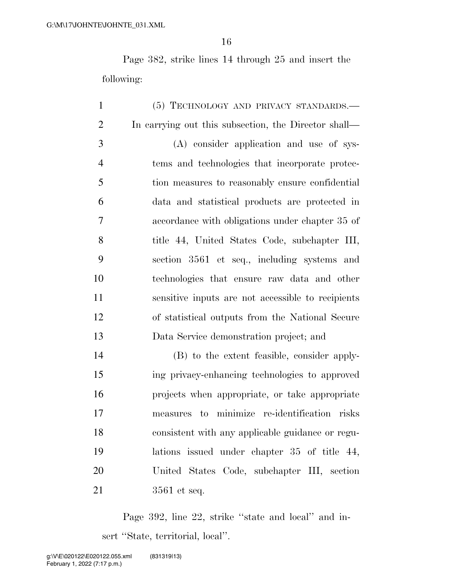Page 382, strike lines 14 through 25 and insert the following:

 (5) TECHNOLOGY AND PRIVACY STANDARDS.— In carrying out this subsection, the Director shall— (A) consider application and use of sys- tems and technologies that incorporate protec- tion measures to reasonably ensure confidential data and statistical products are protected in accordance with obligations under chapter 35 of title 44, United States Code, subchapter III, section 3561 et seq., including systems and technologies that ensure raw data and other sensitive inputs are not accessible to recipients of statistical outputs from the National Secure Data Service demonstration project; and (B) to the extent feasible, consider apply- ing privacy-enhancing technologies to approved projects when appropriate, or take appropriate measures to minimize re-identification risks

 consistent with any applicable guidance or regu- lations issued under chapter 35 of title 44, United States Code, subchapter III, section 3561 et seq.

Page 392, line 22, strike ''state and local'' and insert "State, territorial, local".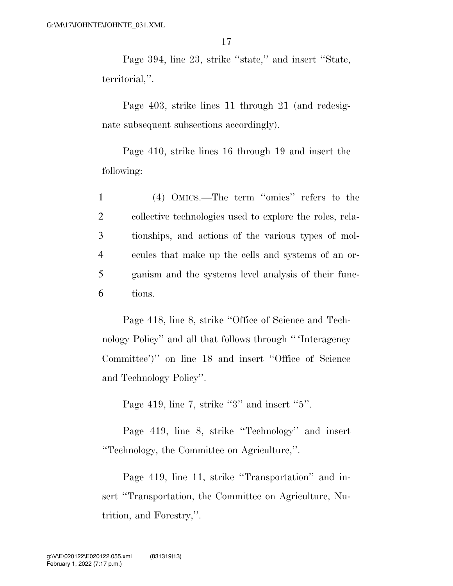Page 394, line 23, strike ''state,'' and insert ''State, territorial,''.

Page 403, strike lines 11 through 21 (and redesignate subsequent subsections accordingly).

Page 410, strike lines 16 through 19 and insert the following:

 (4) OMICS.—The term ''omics'' refers to the collective technologies used to explore the roles, rela- tionships, and actions of the various types of mol- ecules that make up the cells and systems of an or- ganism and the systems level analysis of their func-6 tions.

Page 418, line 8, strike ''Office of Science and Technology Policy'' and all that follows through '' 'Interagency Committee')'' on line 18 and insert ''Office of Science and Technology Policy''.

Page 419, line 7, strike "3" and insert "5".

Page 419, line 8, strike ''Technology'' and insert ''Technology, the Committee on Agriculture,''.

Page 419, line 11, strike "Transportation" and insert "Transportation, the Committee on Agriculture, Nutrition, and Forestry,''.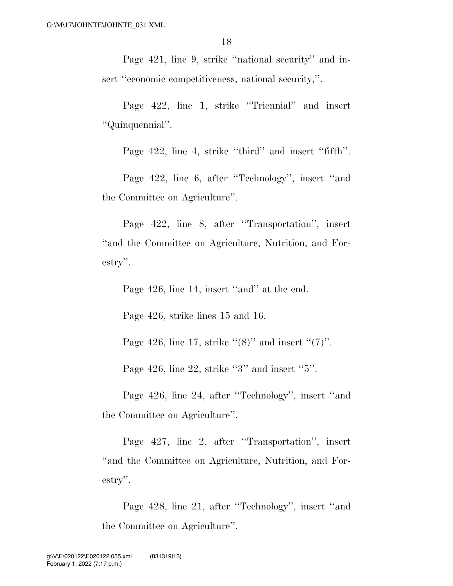Page 421, line 9, strike "national security" and insert "economic competitiveness, national security,".

Page 422, line 1, strike ''Triennial'' and insert ''Quinquennial''.

Page 422, line 4, strike "third" and insert "fifth".

Page 422, line 6, after ''Technology'', insert ''and the Committee on Agriculture''.

Page 422, line 8, after ''Transportation'', insert ''and the Committee on Agriculture, Nutrition, and Forestry''.

Page 426, line 14, insert "and" at the end.

Page 426, strike lines 15 and 16.

Page 426, line 17, strike  $\lq(8)$ " and insert  $\lq(7)$ ".

Page 426, line 22, strike "3" and insert "5".

Page 426, line 24, after ''Technology'', insert ''and the Committee on Agriculture''.

Page 427, line 2, after ''Transportation'', insert ''and the Committee on Agriculture, Nutrition, and Forestry''.

Page 428, line 21, after ''Technology'', insert ''and the Committee on Agriculture''.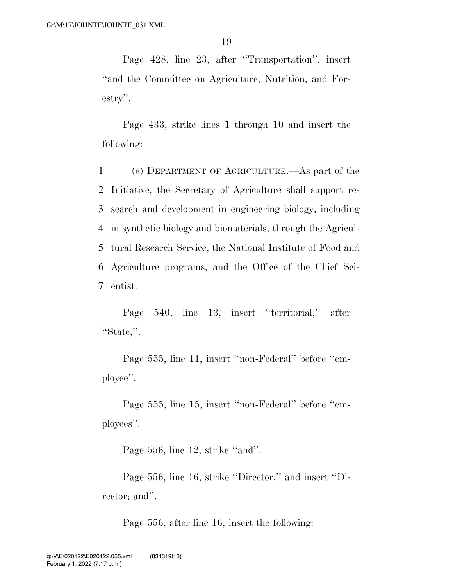Page 428, line 23, after ''Transportation'', insert ''and the Committee on Agriculture, Nutrition, and Forestry''.

Page 433, strike lines 1 through 10 and insert the following:

 (e) DEPARTMENT OF AGRICULTURE.—As part of the Initiative, the Secretary of Agriculture shall support re- search and development in engineering biology, including in synthetic biology and biomaterials, through the Agricul- tural Research Service, the National Institute of Food and Agriculture programs, and the Office of the Chief Sci-7 entist.

Page 540, line 13, insert ''territorial,'' after ''State,''.

Page 555, line 11, insert ''non-Federal'' before ''employee''.

Page 555, line 15, insert ''non-Federal'' before ''employees''.

Page 556, line 12, strike ''and''.

Page 556, line 16, strike ''Director.'' and insert ''Director; and''.

Page 556, after line 16, insert the following: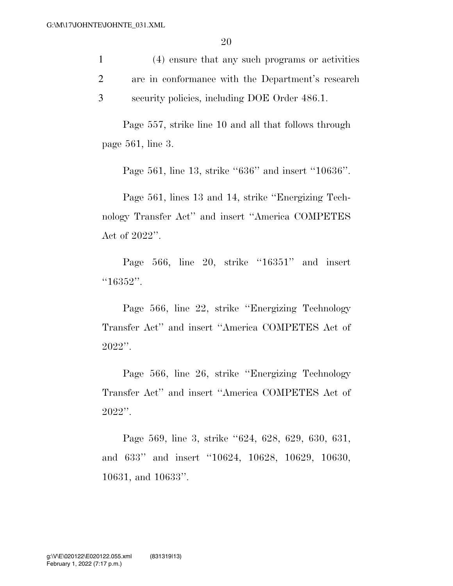1 (4) ensure that any such programs or activities 2 are in conformance with the Department's research 3 security policies, including DOE Order 486.1.

Page 557, strike line 10 and all that follows through page 561, line 3.

Page 561, line 13, strike "636" and insert "10636".

Page 561, lines 13 and 14, strike ''Energizing Technology Transfer Act'' and insert ''America COMPETES Act of 2022''.

Page 566, line 20, strike "16351" and insert ''16352''.

Page 566, line 22, strike ''Energizing Technology Transfer Act'' and insert ''America COMPETES Act of 2022''.

Page 566, line 26, strike ''Energizing Technology Transfer Act'' and insert ''America COMPETES Act of  $2022$ ".

Page 569, line 3, strike ''624, 628, 629, 630, 631, and 633'' and insert ''10624, 10628, 10629, 10630, 10631, and 10633''.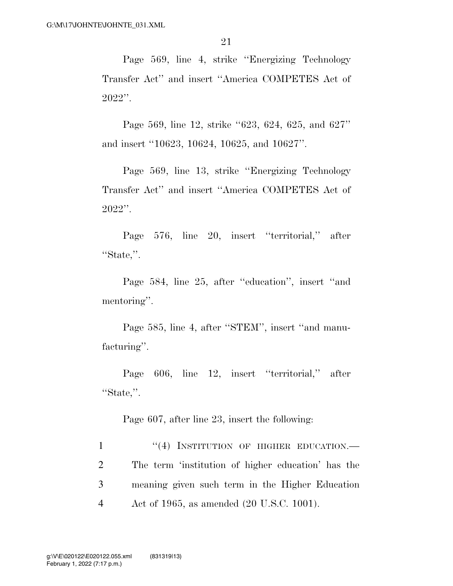Page 569, line 4, strike ''Energizing Technology Transfer Act'' and insert ''America COMPETES Act of 2022''.

Page 569, line 12, strike ''623, 624, 625, and 627'' and insert ''10623, 10624, 10625, and 10627''.

Page 569, line 13, strike ''Energizing Technology Transfer Act'' and insert ''America COMPETES Act of 2022''.

Page 576, line 20, insert ''territorial,'' after ''State,''.

Page 584, line 25, after "education", insert "and mentoring''.

Page 585, line 4, after ''STEM'', insert ''and manufacturing''.

Page 606, line 12, insert ''territorial,'' after ''State,''.

Page 607, after line 23, insert the following:

1 "(4) INSTITUTION OF HIGHER EDUCATION.— The term 'institution of higher education' has the meaning given such term in the Higher Education Act of 1965, as amended (20 U.S.C. 1001).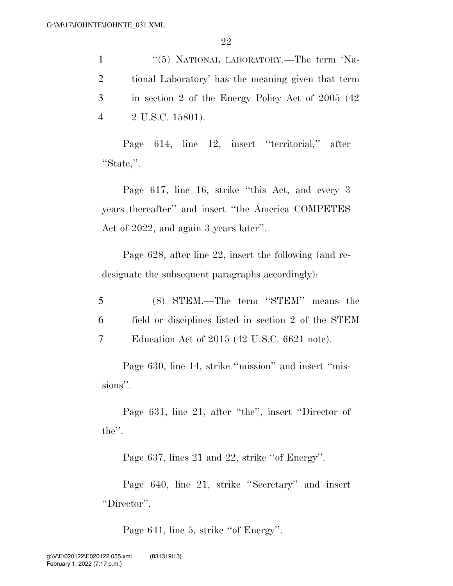1 ''(5) NATIONAL LABORATORY.—The term 'Na- tional Laboratory' has the meaning given that term in section 2 of the Energy Policy Act of 2005 (42 2 U.S.C. 15801).

Page 614, line 12, insert ''territorial,'' after ''State,''.

Page 617, line 16, strike ''this Act, and every 3 years thereafter'' and insert ''the America COMPETES Act of 2022, and again 3 years later''.

Page 628, after line 22, insert the following (and redesignate the subsequent paragraphs accordingly):

5 (8) STEM.—The term ''STEM'' means the 6 field or disciplines listed in section 2 of the STEM 7 Education Act of 2015 (42 U.S.C. 6621 note).

Page 630, line 14, strike "mission" and insert "missions''.

Page 631, line 21, after ''the'', insert ''Director of the''.

Page 637, lines 21 and 22, strike ''of Energy''.

Page 640, line 21, strike ''Secretary'' and insert ''Director''.

Page 641, line 5, strike ''of Energy''.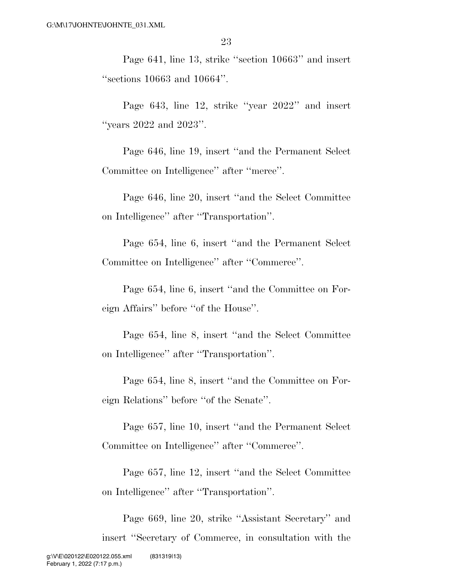Page 641, line 13, strike ''section 10663'' and insert ''sections 10663 and 10664''.

Page 643, line 12, strike ''year 2022'' and insert ''years 2022 and 2023''.

Page 646, line 19, insert ''and the Permanent Select Committee on Intelligence'' after ''merce''.

Page 646, line 20, insert ''and the Select Committee on Intelligence'' after ''Transportation''.

Page 654, line 6, insert ''and the Permanent Select Committee on Intelligence'' after ''Commerce''.

Page 654, line 6, insert ''and the Committee on Foreign Affairs'' before ''of the House''.

Page 654, line 8, insert ''and the Select Committee on Intelligence'' after ''Transportation''.

Page 654, line 8, insert ''and the Committee on Foreign Relations'' before ''of the Senate''.

Page 657, line 10, insert ''and the Permanent Select Committee on Intelligence'' after ''Commerce''.

Page 657, line 12, insert ''and the Select Committee on Intelligence'' after ''Transportation''.

Page 669, line 20, strike ''Assistant Secretary'' and insert ''Secretary of Commerce, in consultation with the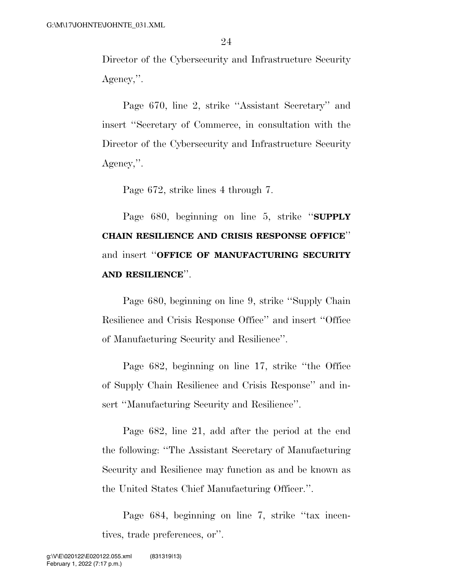Director of the Cybersecurity and Infrastructure Security Agency,''.

Page 670, line 2, strike ''Assistant Secretary'' and insert ''Secretary of Commerce, in consultation with the Director of the Cybersecurity and Infrastructure Security Agency,''.

Page 672, strike lines 4 through 7.

Page 680, beginning on line 5, strike ''**SUPPLY CHAIN RESILIENCE AND CRISIS RESPONSE OFFICE**'' and insert ''**OFFICE OF MANUFACTURING SECURITY AND RESILIENCE**''.

Page 680, beginning on line 9, strike ''Supply Chain Resilience and Crisis Response Office'' and insert ''Office of Manufacturing Security and Resilience''.

Page 682, beginning on line 17, strike ''the Office of Supply Chain Resilience and Crisis Response'' and insert ''Manufacturing Security and Resilience''.

Page 682, line 21, add after the period at the end the following: ''The Assistant Secretary of Manufacturing Security and Resilience may function as and be known as the United States Chief Manufacturing Officer.''.

Page 684, beginning on line 7, strike ''tax incentives, trade preferences, or''.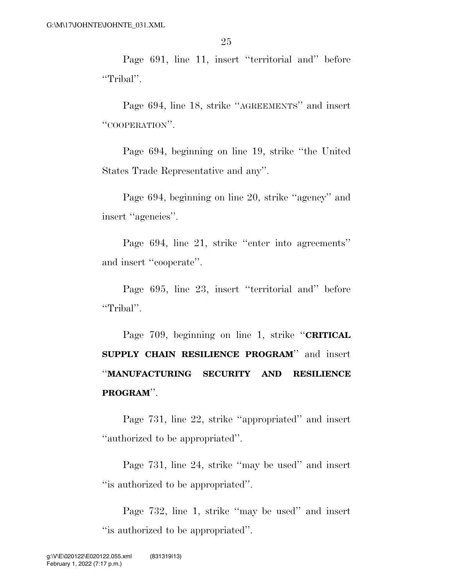Page 691, line 11, insert ''territorial and'' before ''Tribal''.

Page 694, line 18, strike ''AGREEMENTS'' and insert ''COOPERATION''.

Page 694, beginning on line 19, strike ''the United States Trade Representative and any''.

Page 694, beginning on line 20, strike ''agency'' and insert ''agencies''.

Page 694, line 21, strike ''enter into agreements'' and insert ''cooperate''.

Page 695, line 23, insert ''territorial and'' before ''Tribal''.

Page 709, beginning on line 1, strike ''**CRITICAL SUPPLY CHAIN RESILIENCE PROGRAM**'' and insert ''**MANUFACTURING SECURITY AND RESILIENCE PROGRAM**''.

Page 731, line 22, strike ''appropriated'' and insert ''authorized to be appropriated''.

Page 731, line 24, strike ''may be used'' and insert ''is authorized to be appropriated''.

Page 732, line 1, strike ''may be used'' and insert ''is authorized to be appropriated''.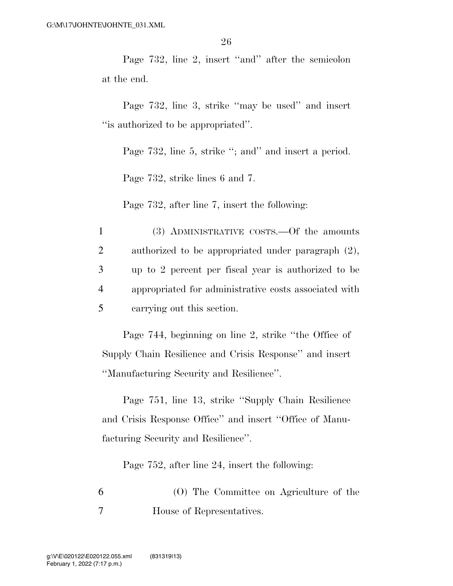Page 732, line 2, insert ''and'' after the semicolon at the end.

Page 732, line 3, strike "may be used" and insert ''is authorized to be appropriated''.

Page 732, line 5, strike "; and" and insert a period.

Page 732, strike lines 6 and 7.

Page 732, after line 7, insert the following:

 (3) ADMINISTRATIVE COSTS.—Of the amounts authorized to be appropriated under paragraph (2), up to 2 percent per fiscal year is authorized to be appropriated for administrative costs associated with carrying out this section.

Page 744, beginning on line 2, strike ''the Office of Supply Chain Resilience and Crisis Response'' and insert ''Manufacturing Security and Resilience''.

Page 751, line 13, strike ''Supply Chain Resilience and Crisis Response Office'' and insert ''Office of Manufacturing Security and Resilience''.

Page 752, after line 24, insert the following:

6 (O) The Committee on Agriculture of the 7 House of Representatives.

February 1, 2022 (7:17 p.m.) g:\V\E\020122\E020122.055.xml (831319|13)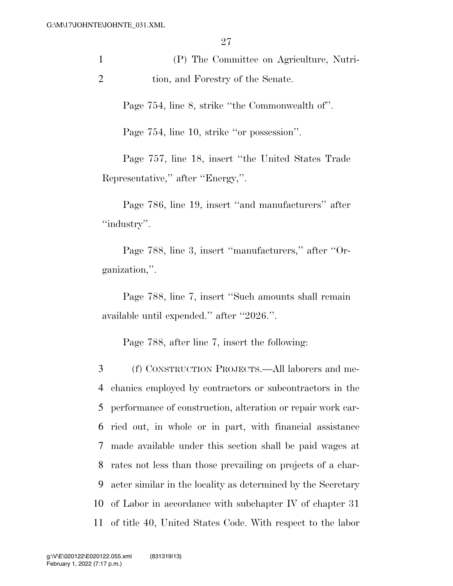1 (P) The Committee on Agriculture, Nutri-2 tion, and Forestry of the Senate.

Page 754, line 8, strike ''the Commonwealth of''.

Page 754, line 10, strike ''or possession''.

Page 757, line 18, insert ''the United States Trade Representative,'' after ''Energy,''.

Page 786, line 19, insert ''and manufacturers'' after ''industry''.

Page 788, line 3, insert ''manufacturers,'' after ''Organization,''.

Page 788, line 7, insert ''Such amounts shall remain available until expended.'' after ''2026.''.

Page 788, after line 7, insert the following:

 (f) CONSTRUCTION PROJECTS.—All laborers and me- chanics employed by contractors or subcontractors in the performance of construction, alteration or repair work car- ried out, in whole or in part, with financial assistance made available under this section shall be paid wages at rates not less than those prevailing on projects of a char- acter similar in the locality as determined by the Secretary of Labor in accordance with subchapter IV of chapter 31 of title 40, United States Code. With respect to the labor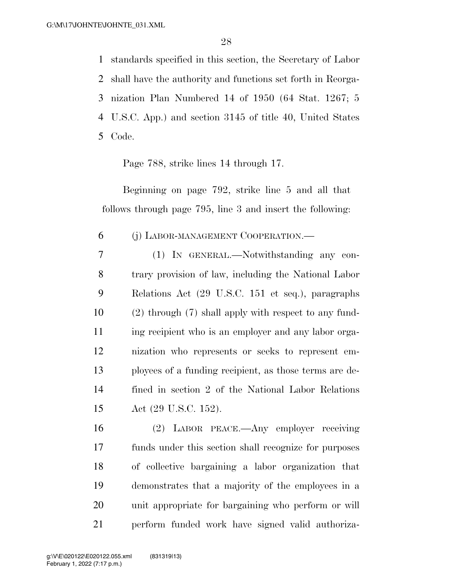standards specified in this section, the Secretary of Labor shall have the authority and functions set forth in Reorga- nization Plan Numbered 14 of 1950 (64 Stat. 1267; 5 U.S.C. App.) and section 3145 of title 40, United States Code.

Page 788, strike lines 14 through 17.

Beginning on page 792, strike line 5 and all that follows through page 795, line 3 and insert the following:

### (j) LABOR-MANAGEMENT COOPERATION.—

 (1) IN GENERAL.—Notwithstanding any con- trary provision of law, including the National Labor Relations Act (29 U.S.C. 151 et seq.), paragraphs (2) through (7) shall apply with respect to any fund-11 ing recipient who is an employer and any labor orga- nization who represents or seeks to represent em- ployees of a funding recipient, as those terms are de- fined in section 2 of the National Labor Relations Act (29 U.S.C. 152).

 (2) LABOR PEACE.—Any employer receiving funds under this section shall recognize for purposes of collective bargaining a labor organization that demonstrates that a majority of the employees in a unit appropriate for bargaining who perform or will perform funded work have signed valid authoriza-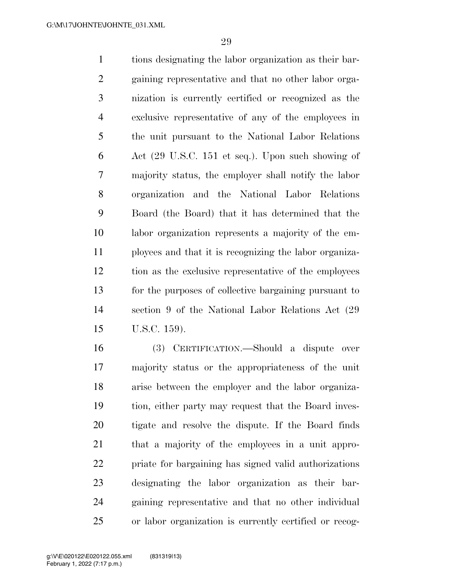tions designating the labor organization as their bar- gaining representative and that no other labor orga- nization is currently certified or recognized as the exclusive representative of any of the employees in the unit pursuant to the National Labor Relations Act (29 U.S.C. 151 et seq.). Upon such showing of majority status, the employer shall notify the labor organization and the National Labor Relations Board (the Board) that it has determined that the labor organization represents a majority of the em- ployees and that it is recognizing the labor organiza- tion as the exclusive representative of the employees for the purposes of collective bargaining pursuant to section 9 of the National Labor Relations Act (29 U.S.C. 159).

 (3) CERTIFICATION.—Should a dispute over majority status or the appropriateness of the unit arise between the employer and the labor organiza- tion, either party may request that the Board inves- tigate and resolve the dispute. If the Board finds that a majority of the employees in a unit appro- priate for bargaining has signed valid authorizations designating the labor organization as their bar- gaining representative and that no other individual or labor organization is currently certified or recog-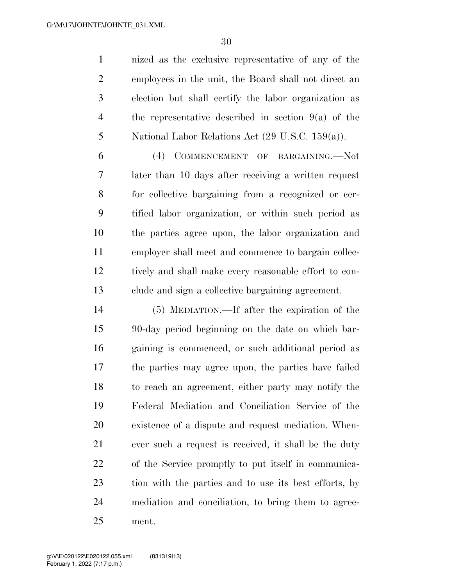nized as the exclusive representative of any of the employees in the unit, the Board shall not direct an election but shall certify the labor organization as the representative described in section 9(a) of the National Labor Relations Act (29 U.S.C. 159(a)).

 (4) COMMENCEMENT OF BARGAINING.—Not later than 10 days after receiving a written request for collective bargaining from a recognized or cer- tified labor organization, or within such period as the parties agree upon, the labor organization and employer shall meet and commence to bargain collec- tively and shall make every reasonable effort to con-clude and sign a collective bargaining agreement.

 (5) MEDIATION.—If after the expiration of the 90-day period beginning on the date on which bar- gaining is commenced, or such additional period as the parties may agree upon, the parties have failed to reach an agreement, either party may notify the Federal Mediation and Conciliation Service of the existence of a dispute and request mediation. When- ever such a request is received, it shall be the duty of the Service promptly to put itself in communica- tion with the parties and to use its best efforts, by mediation and conciliation, to bring them to agree-ment.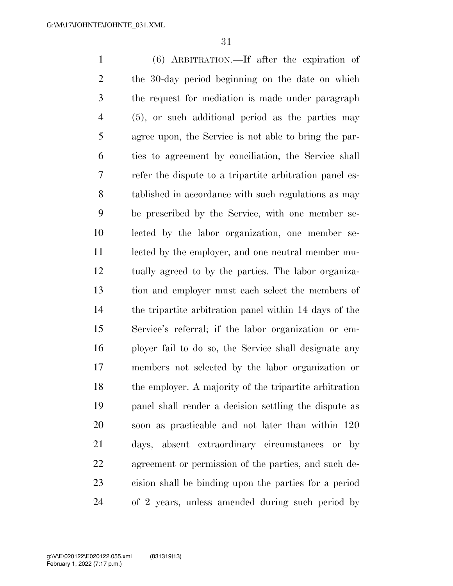(6) ARBITRATION.—If after the expiration of the 30-day period beginning on the date on which the request for mediation is made under paragraph (5), or such additional period as the parties may agree upon, the Service is not able to bring the par- ties to agreement by conciliation, the Service shall refer the dispute to a tripartite arbitration panel es- tablished in accordance with such regulations as may be prescribed by the Service, with one member se- lected by the labor organization, one member se- lected by the employer, and one neutral member mu- tually agreed to by the parties. The labor organiza- tion and employer must each select the members of the tripartite arbitration panel within 14 days of the Service's referral; if the labor organization or em- ployer fail to do so, the Service shall designate any members not selected by the labor organization or 18 the employer. A majority of the tripartite arbitration panel shall render a decision settling the dispute as soon as practicable and not later than within 120 days, absent extraordinary circumstances or by agreement or permission of the parties, and such de- cision shall be binding upon the parties for a period of 2 years, unless amended during such period by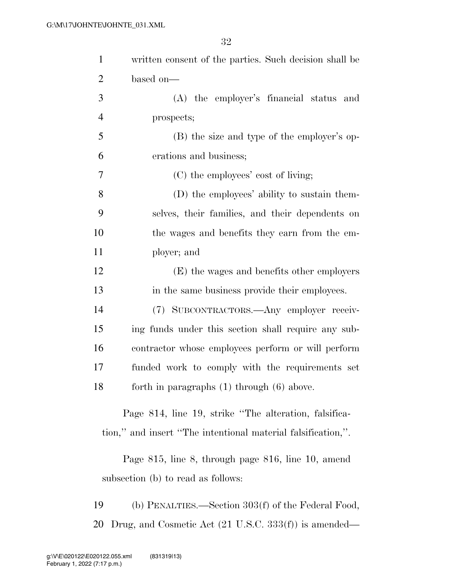| $\mathbf{1}$   | written consent of the parties. Such decision shall be       |
|----------------|--------------------------------------------------------------|
| $\overline{2}$ | based on-                                                    |
| 3              | (A) the employer's financial status and                      |
| $\overline{4}$ | prospects;                                                   |
| 5              | (B) the size and type of the employer's op-                  |
| 6              | erations and business;                                       |
| 7              | (C) the employees' cost of living;                           |
| 8              | (D) the employees' ability to sustain them-                  |
| 9              | selves, their families, and their dependents on              |
| 10             | the wages and benefits they earn from the em-                |
| 11             | ployer; and                                                  |
| 12             | (E) the wages and benefits other employers                   |
| 13             | in the same business provide their employees.                |
| 14             | (7) SUBCONTRACTORS.- Any employer receiv-                    |
| 15             | ing funds under this section shall require any sub-          |
| 16             | contractor whose employees perform or will perform           |
| 17             | funded work to comply with the requirements set              |
| 18             | forth in paragraphs $(1)$ through $(6)$ above.               |
|                | Page 814, line 19, strike "The alteration, falsifica-        |
|                | tion," and insert "The intentional material falsification,". |
|                | Page 815, line 8, through page 816, line 10, amend           |
|                | subsection (b) to read as follows:                           |

 (b) PENALTIES.—Section 303(f) of the Federal Food, Drug, and Cosmetic Act (21 U.S.C. 333(f)) is amended—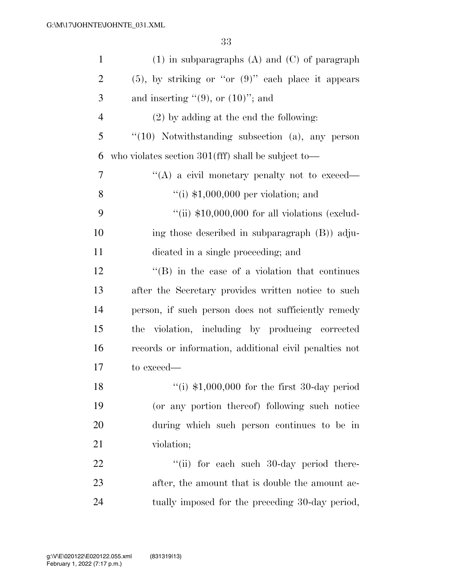| $\mathbf{1}$   | $(1)$ in subparagraphs $(A)$ and $(C)$ of paragraph       |
|----------------|-----------------------------------------------------------|
| $\overline{2}$ | $(5)$ , by striking or "or $(9)$ " each place it appears  |
| 3              | and inserting $"(9)$ , or $(10)"$ ; and                   |
| $\overline{4}$ | $(2)$ by adding at the end the following:                 |
| 5              | $``(10)$ Notwithstanding subsection (a), any person       |
| 6              | who violates section $301(fff)$ shall be subject to-      |
| $\overline{7}$ | "(A) a civil monetary penalty not to exceed—              |
| 8              | $\lq($ i) \$1,000,000 per violation; and                  |
| 9              | "(ii) $$10,000,000$ for all violations (exclud-           |
| 10             | ing those described in subparagraph (B)) adju-            |
| 11             | dicated in a single proceeding; and                       |
| 12             | $\lq\lq (B)$ in the case of a violation that continues    |
| 13             | after the Secretary provides written notice to such       |
| 14             | person, if such person does not sufficiently remedy       |
| 15             | violation, including by producing corrected<br>the        |
| 16             | records or information, additional civil penalties not    |
| 17             | to exceed—                                                |
| 18             | $\frac{1}{2}$ (i) \$1,000,000 for the first 30-day period |
| 19             | (or any portion thereof) following such notice            |
| 20             | during which such person continues to be in               |
| 21             | violation;                                                |
| 22             | "(ii) for each such 30-day period there-                  |
| 23             | after, the amount that is double the amount ac-           |
| 24             | tually imposed for the preceding 30-day period,           |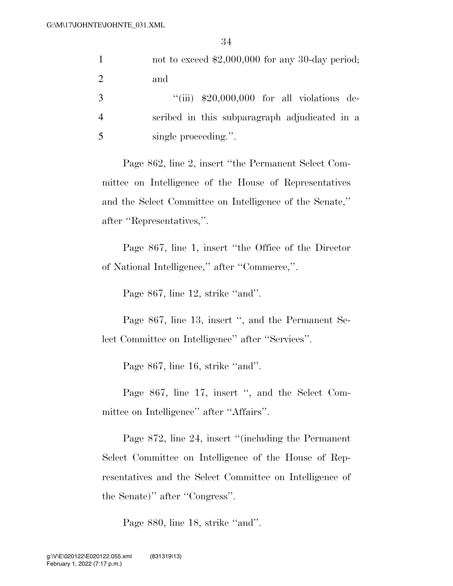|   | not to exceed $$2,000,000$ for any 30-day period; |
|---|---------------------------------------------------|
| 2 | and                                               |
| 3 | "(iii) $$20,000,000$ for all violations de-       |
|   | scribed in this subparagraph adjudicated in a     |
|   | single proceeding."                               |

Page 862, line 2, insert ''the Permanent Select Committee on Intelligence of the House of Representatives and the Select Committee on Intelligence of the Senate,'' after ''Representatives,''.

Page 867, line 1, insert ''the Office of the Director of National Intelligence,'' after ''Commerce,''.

Page 867, line 12, strike "and".

Page 867, line 13, insert ", and the Permanent Select Committee on Intelligence'' after ''Services''.

Page 867, line 16, strike "and".

Page 867, line 17, insert ", and the Select Committee on Intelligence'' after ''Affairs''.

Page 872, line 24, insert ''(including the Permanent Select Committee on Intelligence of the House of Representatives and the Select Committee on Intelligence of the Senate)'' after ''Congress''.

Page 880, line 18, strike ''and''.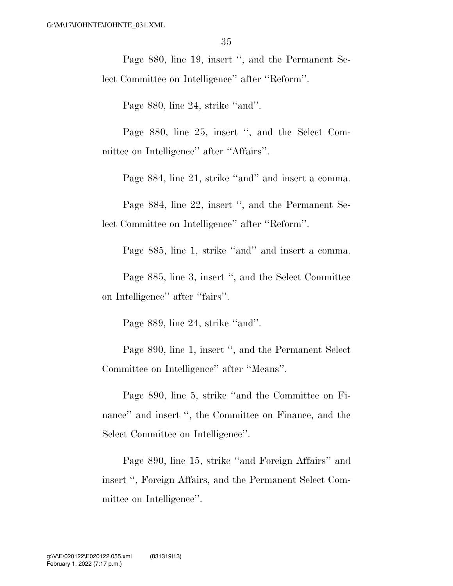Page 880, line 19, insert ", and the Permanent Select Committee on Intelligence'' after ''Reform''.

Page 880, line 24, strike "and".

Page 880, line 25, insert ", and the Select Committee on Intelligence'' after ''Affairs''.

Page 884, line 21, strike "and" and insert a comma.

Page 884, line 22, insert '', and the Permanent Select Committee on Intelligence'' after ''Reform''.

Page 885, line 1, strike ''and'' and insert a comma.

Page 885, line 3, insert '', and the Select Committee on Intelligence'' after ''fairs''.

Page 889, line 24, strike ''and''.

Page 890, line 1, insert '', and the Permanent Select Committee on Intelligence'' after ''Means''.

Page 890, line 5, strike ''and the Committee on Finance" and insert ", the Committee on Finance, and the Select Committee on Intelligence''.

Page 890, line 15, strike ''and Foreign Affairs'' and insert '', Foreign Affairs, and the Permanent Select Committee on Intelligence''.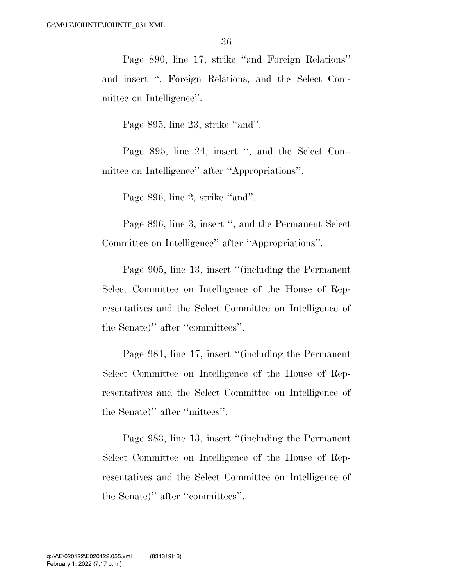Page 890, line 17, strike ''and Foreign Relations'' and insert '', Foreign Relations, and the Select Committee on Intelligence''.

Page 895, line 23, strike ''and''.

Page 895, line 24, insert '', and the Select Committee on Intelligence'' after ''Appropriations''.

Page 896, line 2, strike ''and''.

Page 896, line 3, insert '', and the Permanent Select Committee on Intelligence'' after ''Appropriations''.

Page 905, line 13, insert ''(including the Permanent Select Committee on Intelligence of the House of Representatives and the Select Committee on Intelligence of the Senate)'' after ''committees''.

Page 981, line 17, insert ''(including the Permanent Select Committee on Intelligence of the House of Representatives and the Select Committee on Intelligence of the Senate)'' after ''mittees''.

Page 983, line 13, insert ''(including the Permanent Select Committee on Intelligence of the House of Representatives and the Select Committee on Intelligence of the Senate)'' after ''committees''.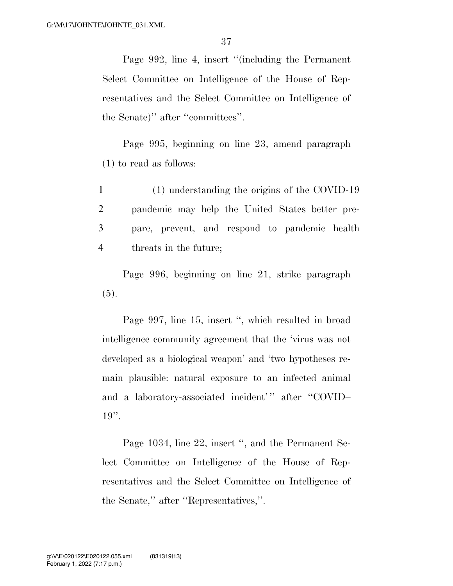Page 992, line 4, insert ''(including the Permanent Select Committee on Intelligence of the House of Representatives and the Select Committee on Intelligence of the Senate)'' after ''committees''.

Page 995, beginning on line 23, amend paragraph (1) to read as follows:

 (1) understanding the origins of the COVID-19 pandemic may help the United States better pre- pare, prevent, and respond to pandemic health threats in the future;

Page 996, beginning on line 21, strike paragraph (5).

Page 997, line 15, insert ", which resulted in broad intelligence community agreement that the 'virus was not developed as a biological weapon' and 'two hypotheses remain plausible: natural exposure to an infected animal and a laboratory-associated incident'" after "COVID- $19$ ".

Page 1034, line 22, insert '', and the Permanent Select Committee on Intelligence of the House of Representatives and the Select Committee on Intelligence of the Senate,'' after ''Representatives,''.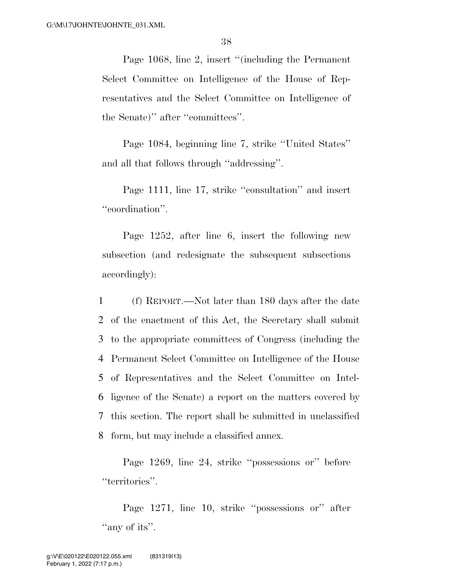Page 1068, line 2, insert ''(including the Permanent Select Committee on Intelligence of the House of Representatives and the Select Committee on Intelligence of the Senate)'' after ''committees''.

Page 1084, beginning line 7, strike ''United States'' and all that follows through ''addressing''.

Page 1111, line 17, strike "consultation" and insert "coordination".

Page 1252, after line 6, insert the following new subsection (and redesignate the subsequent subsections accordingly):

 (f) REPORT.—Not later than 180 days after the date of the enactment of this Act, the Secretary shall submit to the appropriate committees of Congress (including the Permanent Select Committee on Intelligence of the House of Representatives and the Select Committee on Intel- ligence of the Senate) a report on the matters covered by this section. The report shall be submitted in unclassified form, but may include a classified annex.

Page 1269, line 24, strike ''possessions or'' before "territories".

Page 1271, line 10, strike ''possessions or'' after "any of its".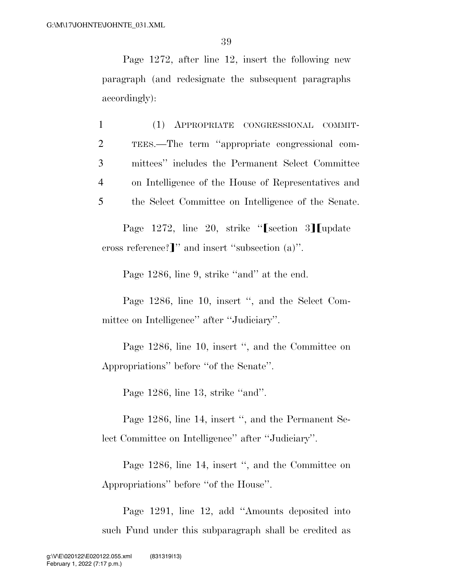Page 1272, after line 12, insert the following new paragraph (and redesignate the subsequent paragraphs accordingly):

 (1) APPROPRIATE CONGRESSIONAL COMMIT- TEES.—The term ''appropriate congressional com- mittees'' includes the Permanent Select Committee on Intelligence of the House of Representatives and the Select Committee on Intelligence of the Senate.

Page 1272, line 20, strike " $\lceil \text{section} \rceil 3 \rceil$  update cross reference?]" and insert "subsection  $(a)$ ".

Page 1286, line 9, strike "and" at the end.

Page 1286, line 10, insert '', and the Select Committee on Intelligence'' after ''Judiciary''.

Page 1286, line 10, insert '', and the Committee on Appropriations'' before ''of the Senate''.

Page 1286, line 13, strike "and".

Page 1286, line 14, insert '', and the Permanent Select Committee on Intelligence'' after ''Judiciary''.

Page 1286, line 14, insert '', and the Committee on Appropriations'' before ''of the House''.

Page 1291, line 12, add ''Amounts deposited into such Fund under this subparagraph shall be credited as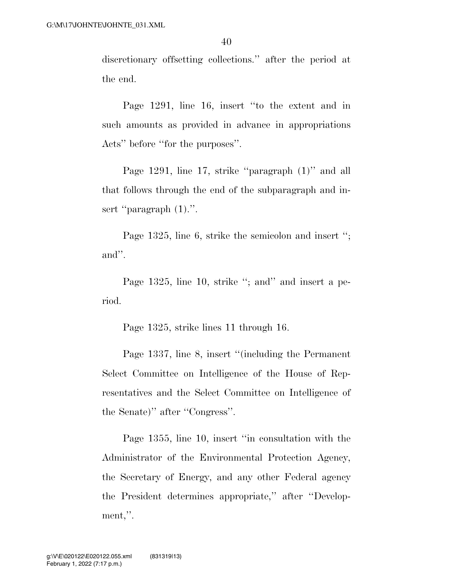discretionary offsetting collections.'' after the period at the end.

Page 1291, line 16, insert ''to the extent and in such amounts as provided in advance in appropriations Acts'' before ''for the purposes''.

Page 1291, line 17, strike ''paragraph (1)'' and all that follows through the end of the subparagraph and insert "paragraph  $(1)$ .".

Page 1325, line 6, strike the semicolon and insert ''; and''.

Page 1325, line 10, strike "; and" and insert a period.

Page 1325, strike lines 11 through 16.

Page 1337, line 8, insert ''(including the Permanent Select Committee on Intelligence of the House of Representatives and the Select Committee on Intelligence of the Senate)'' after ''Congress''.

Page 1355, line 10, insert ''in consultation with the Administrator of the Environmental Protection Agency, the Secretary of Energy, and any other Federal agency the President determines appropriate,'' after ''Development,''.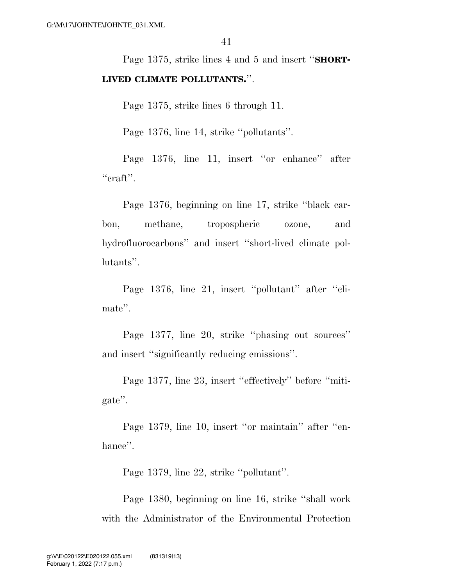Page 1375, strike lines 4 and 5 and insert ''**SHORT-LIVED CLIMATE POLLUTANTS.**''.

Page 1375, strike lines 6 through 11.

Page 1376, line 14, strike ''pollutants''.

Page 1376, line 11, insert "or enhance" after  $``\text{craft}''$ .

Page 1376, beginning on line 17, strike ''black carbon, methane, tropospheric ozone, and hydrofluorocarbons'' and insert ''short-lived climate pollutants''.

Page 1376, line 21, insert "pollutant" after "climate''.

Page 1377, line 20, strike ''phasing out sources'' and insert ''significantly reducing emissions''.

Page 1377, line 23, insert ''effectively'' before ''mitigate''.

Page 1379, line 10, insert ''or maintain'' after ''enhance".

Page 1379, line 22, strike ''pollutant''.

Page 1380, beginning on line 16, strike ''shall work with the Administrator of the Environmental Protection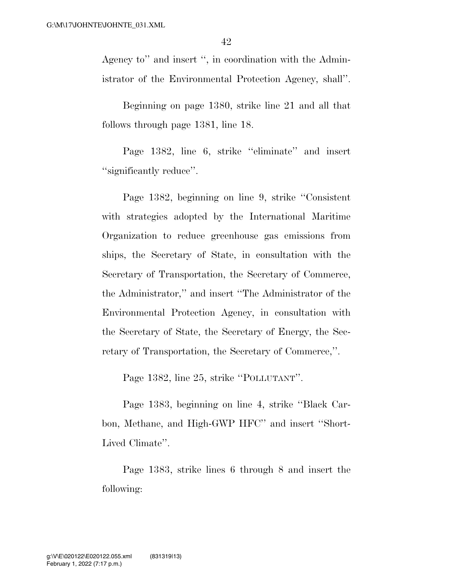Agency to'' and insert '', in coordination with the Administrator of the Environmental Protection Agency, shall''.

Beginning on page 1380, strike line 21 and all that follows through page 1381, line 18.

Page 1382, line 6, strike "eliminate" and insert ''significantly reduce''.

Page 1382, beginning on line 9, strike ''Consistent with strategies adopted by the International Maritime Organization to reduce greenhouse gas emissions from ships, the Secretary of State, in consultation with the Secretary of Transportation, the Secretary of Commerce, the Administrator,'' and insert ''The Administrator of the Environmental Protection Agency, in consultation with the Secretary of State, the Secretary of Energy, the Secretary of Transportation, the Secretary of Commerce,''.

Page 1382, line 25, strike ''POLLUTANT''.

Page 1383, beginning on line 4, strike ''Black Carbon, Methane, and High-GWP HFC'' and insert ''Short-Lived Climate''.

Page 1383, strike lines 6 through 8 and insert the following: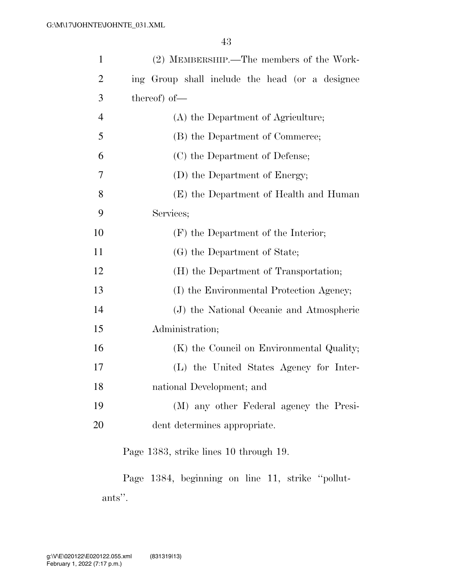| $\mathbf{1}$   | (2) MEMBERSHIP.—The members of the Work-         |
|----------------|--------------------------------------------------|
| $\overline{2}$ | ing Group shall include the head (or a designee  |
| 3              | thereof) of-                                     |
| $\overline{4}$ | (A) the Department of Agriculture;               |
| 5              | (B) the Department of Commerce;                  |
| 6              | (C) the Department of Defense;                   |
| 7              | (D) the Department of Energy;                    |
| 8              | (E) the Department of Health and Human           |
| 9              | Services;                                        |
| 10             | (F) the Department of the Interior;              |
| 11             | (G) the Department of State;                     |
| 12             | (H) the Department of Transportation;            |
| 13             | (I) the Environmental Protection Agency;         |
| 14             | (J) the National Oceanic and Atmospheric         |
| 15             | Administration;                                  |
| 16             | (K) the Council on Environmental Quality;        |
| 17             | (L) the United States Agency for Inter-          |
| 18             | national Development; and                        |
| 19             | (M) any other Federal agency the Presi-          |
| 20             | dent determines appropriate.                     |
|                | Page 1383, strike lines 10 through 19.           |
|                | Page 1384, beginning on line 11, strike "pollut- |

ants''.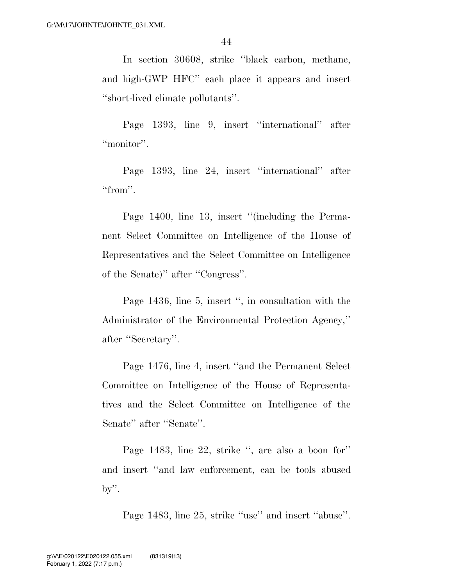In section 30608, strike ''black carbon, methane, and high-GWP HFC'' each place it appears and insert ''short-lived climate pollutants''.

Page 1393, line 9, insert ''international'' after "monitor".

Page 1393, line 24, insert ''international'' after "from".

Page 1400, line 13, insert "(including the Permanent Select Committee on Intelligence of the House of Representatives and the Select Committee on Intelligence of the Senate)'' after ''Congress''.

Page 1436, line 5, insert ", in consultation with the Administrator of the Environmental Protection Agency,'' after ''Secretary''.

Page 1476, line 4, insert ''and the Permanent Select Committee on Intelligence of the House of Representatives and the Select Committee on Intelligence of the Senate'' after ''Senate''.

Page 1483, line 22, strike '', are also a boon for'' and insert ''and law enforcement, can be tools abused  $by'$ .

Page 1483, line 25, strike "use" and insert "abuse".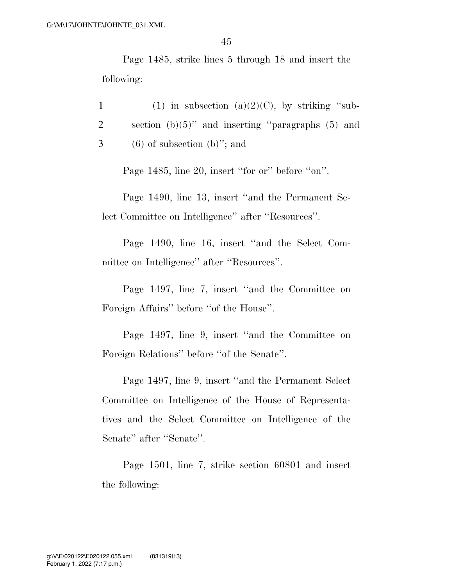Page 1485, strike lines 5 through 18 and insert the following:

1 (1) in subsection (a) $(2)(C)$ , by striking "sub-2 section (b)(5)'' and inserting ''paragraphs (5) and  $3 \t\t (6)$  of subsection (b)"; and

Page 1485, line 20, insert "for or" before "on".

Page 1490, line 13, insert ''and the Permanent Select Committee on Intelligence'' after ''Resources''.

Page 1490, line 16, insert ''and the Select Committee on Intelligence'' after ''Resources''.

Page 1497, line 7, insert ''and the Committee on Foreign Affairs'' before ''of the House''.

Page 1497, line 9, insert ''and the Committee on Foreign Relations'' before "of the Senate".

Page 1497, line 9, insert ''and the Permanent Select Committee on Intelligence of the House of Representatives and the Select Committee on Intelligence of the Senate'' after ''Senate''.

Page 1501, line 7, strike section 60801 and insert the following: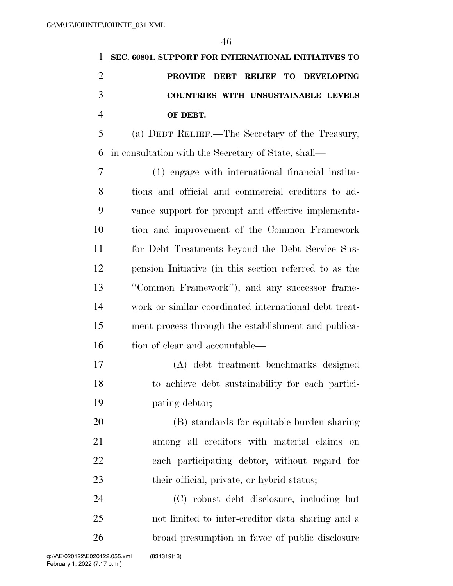|               | 1 SEC. 60801. SUPPORT FOR INTERNATIONAL INITIATIVES TO |
|---------------|--------------------------------------------------------|
|               | PROVIDE DEBT RELIEF TO DEVELOPING                      |
| $\mathcal{R}$ | COUNTRIES WITH UNSUSTAINABLE LEVELS                    |
|               | OF DEBT.                                               |

 (a) DEBT RELIEF.—The Secretary of the Treasury, in consultation with the Secretary of State, shall—

 (1) engage with international financial institu- tions and official and commercial creditors to ad- vance support for prompt and effective implementa- tion and improvement of the Common Framework for Debt Treatments beyond the Debt Service Sus- pension Initiative (in this section referred to as the ''Common Framework''), and any successor frame- work or similar coordinated international debt treat- ment process through the establishment and publica-16 tion of clear and accountable—

 (A) debt treatment benchmarks designed to achieve debt sustainability for each partici-pating debtor;

 (B) standards for equitable burden sharing among all creditors with material claims on each participating debtor, without regard for 23 their official, private, or hybrid status;

 (C) robust debt disclosure, including but not limited to inter-creditor data sharing and a broad presumption in favor of public disclosure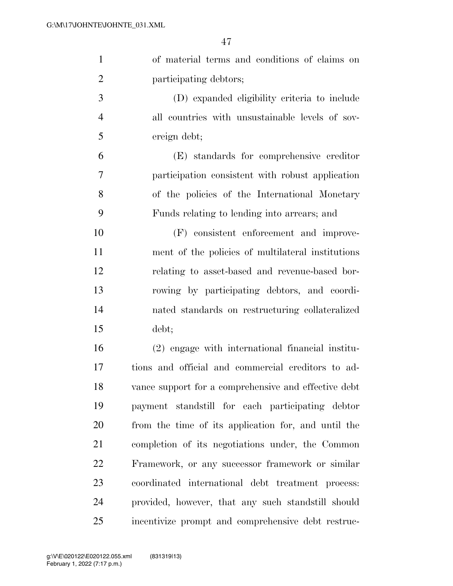$\overline{4}$ 

|                | 47                                                   |
|----------------|------------------------------------------------------|
| $\mathbf{1}$   | of material terms and conditions of claims on        |
| $\overline{2}$ | participating debtors;                               |
| 3              | (D) expanded eligibility criteria to include         |
| $\overline{4}$ | all countries with unsustainable levels of sov-      |
| 5              | ereign debt;                                         |
| 6              | (E) standards for comprehensive creditor             |
| $\overline{7}$ | participation consistent with robust application     |
| 8              | of the policies of the International Monetary        |
| 9              | Funds relating to lending into arrears; and          |
| 10             | (F) consistent enforcement and improve-              |
| 11             | ment of the policies of multilateral institutions    |
| 12             | relating to asset-based and revenue-based bor-       |
| 13             | rowing by participating debtors, and coordi-         |
| 14             | nated standards on restructuring collateralized      |
| 15             | debt;                                                |
| 16             | (2) engage with international financial institu-     |
| 17             | tions and official and commercial creditors to ad-   |
| 18             | vance support for a comprehensive and effective debt |
| 19             | payment standstill for each participating debtor     |
| 20.            | from the time of its application for and until the   |

 from the time of its application for, and until the completion of its negotiations under, the Common Framework, or any successor framework or similar coordinated international debt treatment process: provided, however, that any such standstill should incentivize prompt and comprehensive debt restruc-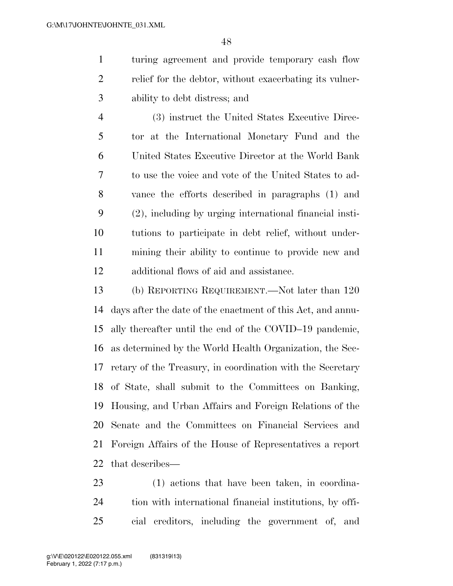turing agreement and provide temporary cash flow relief for the debtor, without exacerbating its vulner-ability to debt distress; and

 (3) instruct the United States Executive Direc- tor at the International Monetary Fund and the United States Executive Director at the World Bank to use the voice and vote of the United States to ad- vance the efforts described in paragraphs (1) and (2), including by urging international financial insti- tutions to participate in debt relief, without under- mining their ability to continue to provide new and additional flows of aid and assistance.

 (b) REPORTING REQUIREMENT.—Not later than 120 days after the date of the enactment of this Act, and annu- ally thereafter until the end of the COVID–19 pandemic, as determined by the World Health Organization, the Sec- retary of the Treasury, in coordination with the Secretary of State, shall submit to the Committees on Banking, Housing, and Urban Affairs and Foreign Relations of the Senate and the Committees on Financial Services and Foreign Affairs of the House of Representatives a report that describes—

 (1) actions that have been taken, in coordina- tion with international financial institutions, by offi-cial creditors, including the government of, and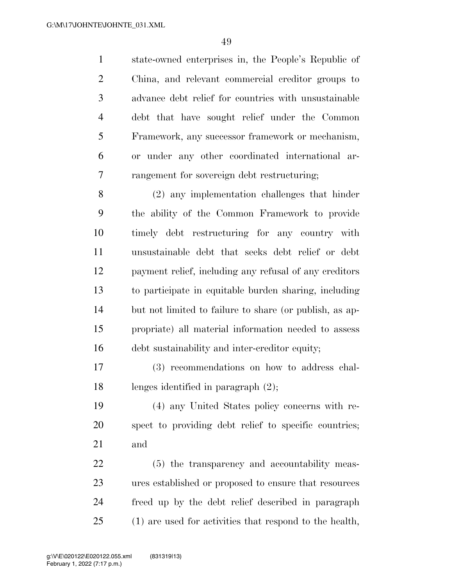state-owned enterprises in, the People's Republic of China, and relevant commercial creditor groups to advance debt relief for countries with unsustainable debt that have sought relief under the Common Framework, any successor framework or mechanism, or under any other coordinated international ar-rangement for sovereign debt restructuring;

 (2) any implementation challenges that hinder the ability of the Common Framework to provide timely debt restructuring for any country with unsustainable debt that seeks debt relief or debt payment relief, including any refusal of any creditors to participate in equitable burden sharing, including but not limited to failure to share (or publish, as ap- propriate) all material information needed to assess debt sustainability and inter-creditor equity;

 (3) recommendations on how to address chal-lenges identified in paragraph (2);

 (4) any United States policy concerns with re- spect to providing debt relief to specific countries; and

 (5) the transparency and accountability meas- ures established or proposed to ensure that resources freed up by the debt relief described in paragraph (1) are used for activities that respond to the health,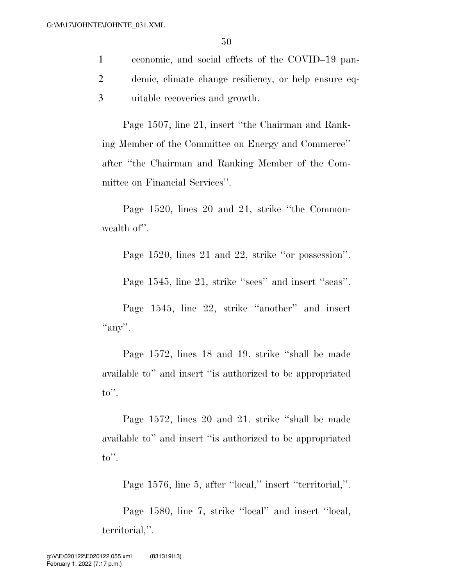1 economic, and social effects of the COVID–19 pan-2 demic, climate change resiliency, or help ensure eq-3 uitable recoveries and growth.

Page 1507, line 21, insert ''the Chairman and Ranking Member of the Committee on Energy and Commerce'' after ''the Chairman and Ranking Member of the Committee on Financial Services''.

Page 1520, lines 20 and 21, strike ''the Commonwealth of".

Page 1520, lines 21 and 22, strike ''or possession''.

Page 1545, line 21, strike "sees" and insert "seas".

Page 1545, line 22, strike ''another'' and insert "any".

Page 1572, lines 18 and 19. strike ''shall be made available to'' and insert ''is authorized to be appropriated to''.

Page 1572, lines 20 and 21. strike ''shall be made available to'' and insert ''is authorized to be appropriated to''.

Page 1576, line 5, after "local," insert "territorial,".

Page 1580, line 7, strike ''local'' and insert ''local, territorial,''.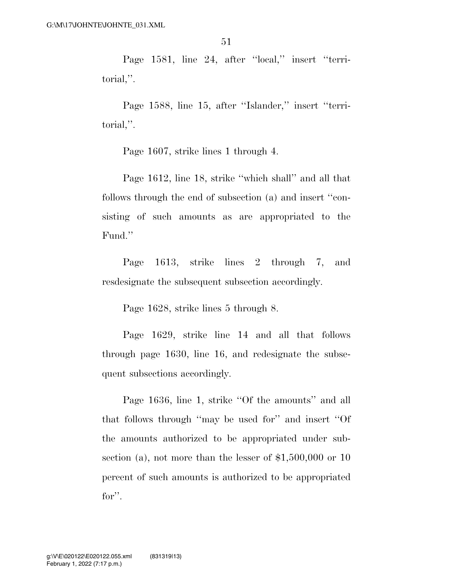Page 1581, line 24, after "local," insert "territorial,''.

Page 1588, line 15, after ''Islander,'' insert ''territorial,''.

Page 1607, strike lines 1 through 4.

Page 1612, line 18, strike ''which shall'' and all that follows through the end of subsection (a) and insert ''consisting of such amounts as are appropriated to the Fund.''

Page 1613, strike lines 2 through 7, and resdesignate the subsequent subsection accordingly.

Page 1628, strike lines 5 through 8.

Page 1629, strike line 14 and all that follows through page 1630, line 16, and redesignate the subsequent subsections accordingly.

Page 1636, line 1, strike "Of the amounts" and all that follows through ''may be used for'' and insert ''Of the amounts authorized to be appropriated under subsection (a), not more than the lesser of \$1,500,000 or 10 percent of such amounts is authorized to be appropriated for''.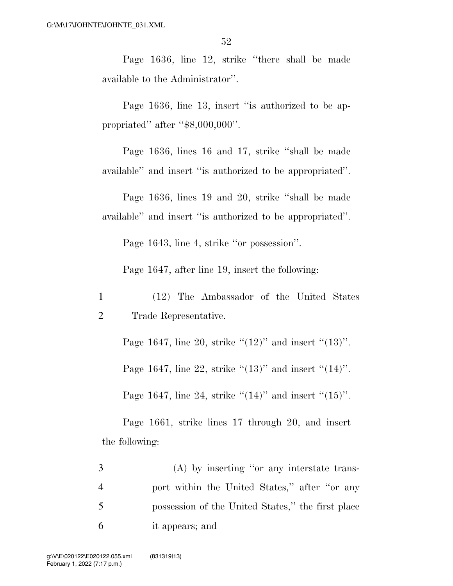Page 1636, line 12, strike ''there shall be made available to the Administrator''.

Page 1636, line 13, insert "is authorized to be appropriated'' after ''\$8,000,000''.

Page 1636, lines 16 and 17, strike ''shall be made available'' and insert ''is authorized to be appropriated''.

Page 1636, lines 19 and 20, strike ''shall be made available'' and insert ''is authorized to be appropriated''.

Page 1643, line 4, strike ''or possession''.

Page 1647, after line 19, insert the following:

1 (12) The Ambassador of the United States 2 Trade Representative.

Page 1647, line 20, strike  $(12)$ " and insert  $(13)$ ".

Page 1647, line 22, strike  $(13)$ " and insert  $(14)$ ".

Page 1647, line 24, strike  $(14)$ " and insert  $(15)$ ".

Page 1661, strike lines 17 through 20, and insert the following:

 (A) by inserting ''or any interstate trans- port within the United States,'' after ''or any possession of the United States,'' the first place it appears; and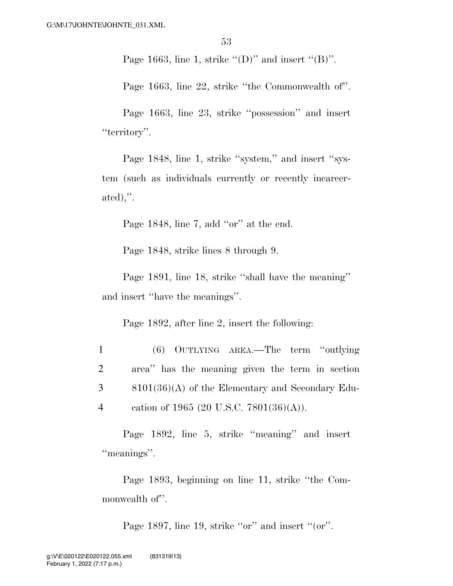Page 1663, line 1, strike  $\lq (D)$ " and insert  $\lq (B)$ ".

Page 1663, line 22, strike ''the Commonwealth of''.

Page 1663, line 23, strike ''possession'' and insert "territory".

Page 1848, line 1, strike "system," and insert "system (such as individuals currently or recently incarcerated),''.

Page 1848, line 7, add ''or'' at the end.

Page 1848, strike lines 8 through 9.

Page 1891, line 18, strike ''shall have the meaning'' and insert ''have the meanings''.

Page 1892, after line 2, insert the following:

 (6) OUTLYING AREA.—The term ''outlying area'' has the meaning given the term in section 8101(36)(A) of the Elementary and Secondary Edu-cation of 1965 (20 U.S.C. 7801(36)(A)).

Page 1892, line 5, strike ''meaning'' and insert "meanings".

Page 1893, beginning on line 11, strike ''the Commonwealth of".

Page 1897, line 19, strike "or" and insert "(or".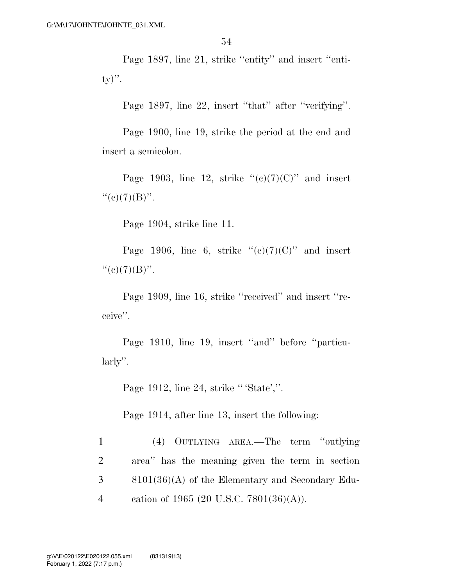Page 1897, line 21, strike "entity" and insert "enti $ty)$ ".

Page 1897, line 22, insert "that" after "verifying".

Page 1900, line 19, strike the period at the end and insert a semicolon.

Page 1903, line 12, strike  $((c)(7)(C))$  and insert  $``(e)(7)(B)''$ .

Page 1904, strike line 11.

Page 1906, line 6, strike  $((c)(7)(C))$  and insert  $``(e)(7)(B)''$ .

Page 1909, line 16, strike ''received'' and insert ''receive''.

Page 1910, line 19, insert "and" before "particularly''.

Page 1912, line 24, strike '' 'State',''.

Page 1914, after line 13, insert the following:

 (4) OUTLYING AREA.—The term ''outlying area'' has the meaning given the term in section 8101(36)(A) of the Elementary and Secondary Edu-cation of 1965 (20 U.S.C. 7801(36)(A)).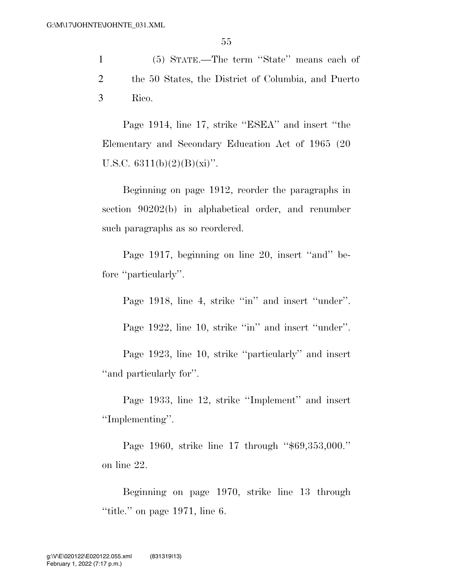1 (5) STATE.—The term ''State'' means each of 2 the 50 States, the District of Columbia, and Puerto 3 Rico.

Page 1914, line 17, strike ''ESEA'' and insert ''the Elementary and Secondary Education Act of 1965 (20 U.S.C.  $6311(b)(2)(B)(xi)$ ".

Beginning on page 1912, reorder the paragraphs in section 90202(b) in alphabetical order, and renumber such paragraphs as so reordered.

Page 1917, beginning on line 20, insert ''and'' before "particularly".

Page 1918, line 4, strike "in" and insert "under".

Page 1922, line 10, strike "in" and insert "under".

Page 1923, line 10, strike ''particularly'' and insert ''and particularly for''.

Page 1933, line 12, strike ''Implement'' and insert ''Implementing''.

Page 1960, strike line 17 through ''\$69,353,000.'' on line 22.

Beginning on page 1970, strike line 13 through ''title.'' on page 1971, line 6.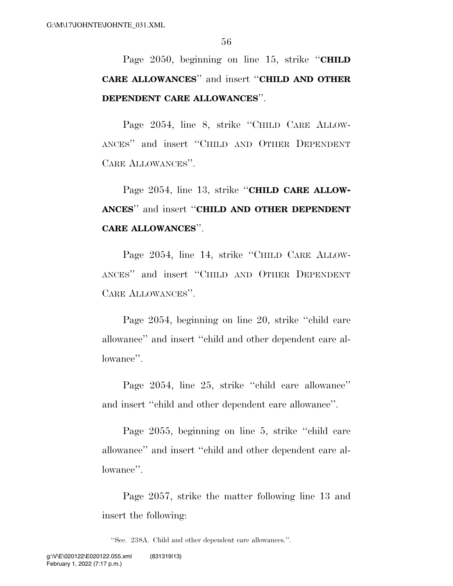Page 2050, beginning on line 15, strike ''**CHILD CARE ALLOWANCES**'' and insert ''**CHILD AND OTHER DEPENDENT CARE ALLOWANCES**''.

Page 2054, line 8, strike ''CHILD CARE ALLOW-ANCES'' and insert ''CHILD AND OTHER DEPENDENT CARE ALLOWANCES''.

Page 2054, line 13, strike ''**CHILD CARE ALLOW-ANCES**'' and insert ''**CHILD AND OTHER DEPENDENT CARE ALLOWANCES**''.

Page 2054, line 14, strike ''CHILD CARE ALLOW-ANCES'' and insert ''CHILD AND OTHER DEPENDENT CARE ALLOWANCES''.

Page 2054, beginning on line 20, strike ''child care allowance'' and insert ''child and other dependent care allowance''.

Page 2054, line 25, strike ''child care allowance'' and insert ''child and other dependent care allowance''.

Page 2055, beginning on line 5, strike ''child care allowance'' and insert ''child and other dependent care allowance''.

Page 2057, strike the matter following line 13 and insert the following:

''Sec. 238A. Child and other dependent care allowances.''.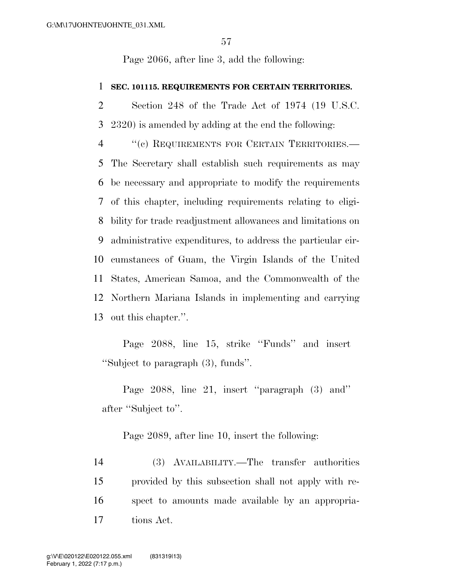Page 2066, after line 3, add the following:

#### **SEC. 101115. REQUIREMENTS FOR CERTAIN TERRITORIES.**

 Section 248 of the Trade Act of 1974 (19 U.S.C. 2320) is amended by adding at the end the following:

 ''(c) REQUIREMENTS FOR CERTAIN TERRITORIES.— The Secretary shall establish such requirements as may be necessary and appropriate to modify the requirements of this chapter, including requirements relating to eligi- bility for trade readjustment allowances and limitations on administrative expenditures, to address the particular cir- cumstances of Guam, the Virgin Islands of the United States, American Samoa, and the Commonwealth of the Northern Mariana Islands in implementing and carrying out this chapter.''.

Page 2088, line 15, strike ''Funds'' and insert ''Subject to paragraph (3), funds''.

Page 2088, line 21, insert ''paragraph (3) and'' after ''Subject to''.

Page 2089, after line 10, insert the following:

 (3) AVAILABILITY.—The transfer authorities provided by this subsection shall not apply with re- spect to amounts made available by an appropria-tions Act.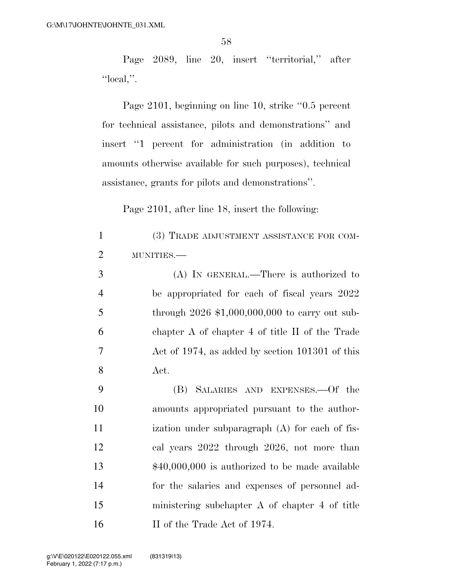Page 2089, line 20, insert ''territorial,'' after ''local,''.

Page 2101, beginning on line 10, strike ''0.5 percent for technical assistance, pilots and demonstrations'' and insert ''1 percent for administration (in addition to amounts otherwise available for such purposes), technical assistance, grants for pilots and demonstrations''.

Page 2101, after line 18, insert the following:

| $\mathbf{1}$   | (3) TRADE ADJUSTMENT ASSISTANCE FOR COM-         |
|----------------|--------------------------------------------------|
| $\overline{2}$ | MUNITIES.                                        |
| 3              | (A) IN GENERAL.—There is authorized to           |
| $\overline{4}$ | be appropriated for each of fiscal years 2022    |
| 5              | through $2026$ \$1,000,000,000 to carry out sub- |
| 6              | chapter A of chapter 4 of title II of the Trade  |
| 7              | Act of 1974, as added by section 101301 of this  |
| 8              | Act.                                             |
| 9              | SALARIES AND EXPENSES. Of the<br>(B)             |
| 10             | amounts appropriated pursuant to the author-     |
| 11             | ization under subparagraph (A) for each of fis-  |
| 12             | cal years 2022 through 2026, not more than       |
| 13             | $$40,000,000$ is authorized to be made available |
| 14             | for the salaries and expenses of personnel ad-   |
| 15             | ministering subchapter A of chapter 4 of title   |
| 16             | II of the Trade Act of 1974.                     |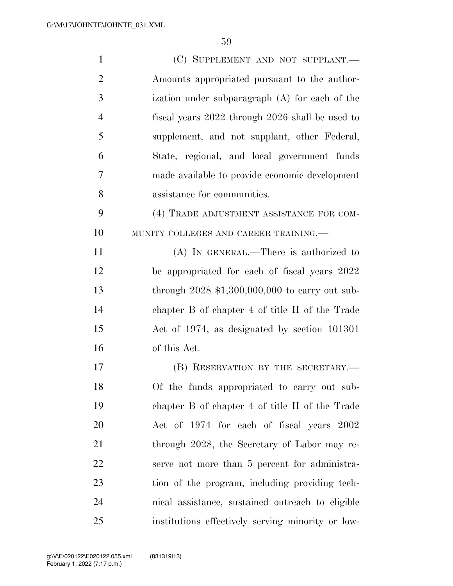| $\mathbf{1}$   | (C) SUPPLEMENT AND NOT SUPPLANT.                  |
|----------------|---------------------------------------------------|
| $\overline{2}$ | Amounts appropriated pursuant to the author-      |
| 3              | ization under subparagraph (A) for each of the    |
| $\overline{4}$ | fiscal years 2022 through 2026 shall be used to   |
| 5              | supplement, and not supplant, other Federal,      |
| 6              | State, regional, and local government funds       |
| 7              | made available to provide economic development    |
| 8              | assistance for communities.                       |
| 9              | (4) TRADE ADJUSTMENT ASSISTANCE FOR COM-          |
| 10             | MUNITY COLLEGES AND CAREER TRAINING.              |
| 11             | (A) IN GENERAL.—There is authorized to            |
| 12             | be appropriated for each of fiscal years 2022     |
| 13             | through $2028$ \$1,300,000,000 to carry out sub-  |
| 14             | chapter B of chapter 4 of title II of the Trade   |
| 15             | Act of 1974, as designated by section 101301      |
| 16             | of this Act.                                      |
| 17             | (B) RESERVATION BY THE SECRETARY.—                |
| 18             | Of the funds appropriated to carry out sub-       |
| 19             | chapter B of chapter 4 of title II of the Trade   |
| 20             | Act of 1974 for each of fiscal years 2002         |
| 21             | through 2028, the Secretary of Labor may re-      |
| 22             | serve not more than 5 percent for administra-     |
| 23             | tion of the program, including providing tech-    |
| 24             | nical assistance, sustained outreach to eligible  |
| 25             | institutions effectively serving minority or low- |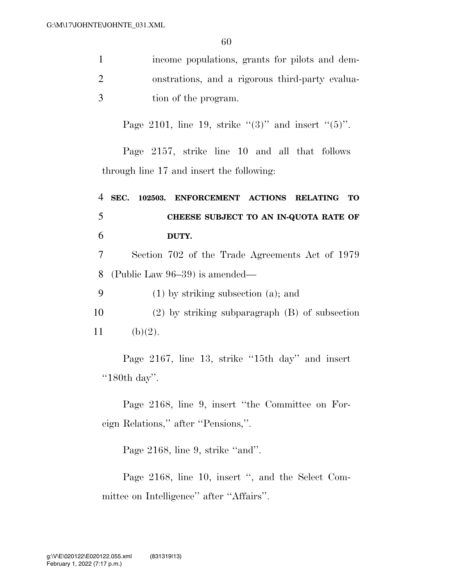| $\mathbf{1}$   | income populations, grants for pilots and dem-                      |
|----------------|---------------------------------------------------------------------|
| $\overline{2}$ | onstrations, and a rigorous third-party evalua-                     |
| 3              | tion of the program.                                                |
|                | Page 2101, line 19, strike "(3)" and insert "(5)".                  |
|                | Page 2157, strike line 10 and all that follows                      |
|                | through line 17 and insert the following:                           |
| 4              | SEC. 102503.<br>ENFORCEMENT ACTIONS<br><b>RELATING</b><br><b>TO</b> |
| 5              | CHEESE SUBJECT TO AN IN-QUOTA RATE OF                               |
| 6              | DUTY.                                                               |
| 7              | Section 702 of the Trade Agreements Act of 1979                     |
| 8              | (Public Law $96-39$ ) is amended—                                   |
| 9              | $(1)$ by striking subsection $(a)$ ; and                            |
| 10             | $(2)$ by striking subparagraph $(B)$ of subsection                  |
| 11             | (b)(2).                                                             |
|                | Page 2167, line 13, strike "15th day" and insert<br>" $180th$ day". |

Page 2168, line 9, insert ''the Committee on Foreign Relations,'' after ''Pensions,''.

Page 2168, line 9, strike "and".

Page 2168, line 10, insert '', and the Select Committee on Intelligence'' after ''Affairs''.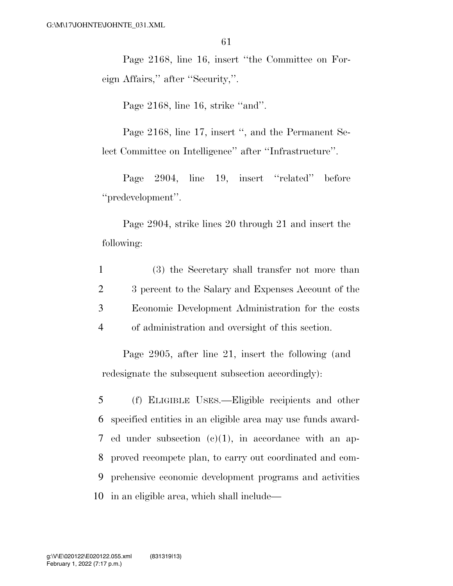Page 2168, line 16, insert ''the Committee on Foreign Affairs,'' after ''Security,''.

Page 2168, line 16, strike "and".

Page 2168, line 17, insert '', and the Permanent Select Committee on Intelligence'' after ''Infrastructure''.

Page 2904, line 19, insert "related" before ''predevelopment''.

Page 2904, strike lines 20 through 21 and insert the following:

 (3) the Secretary shall transfer not more than 3 percent to the Salary and Expenses Account of the Economic Development Administration for the costs of administration and oversight of this section.

Page 2905, after line 21, insert the following (and redesignate the subsequent subsection accordingly):

 (f) ELIGIBLE USES.—Eligible recipients and other specified entities in an eligible area may use funds award- ed under subsection (c)(1), in accordance with an ap- proved recompete plan, to carry out coordinated and com- prehensive economic development programs and activities in an eligible area, which shall include—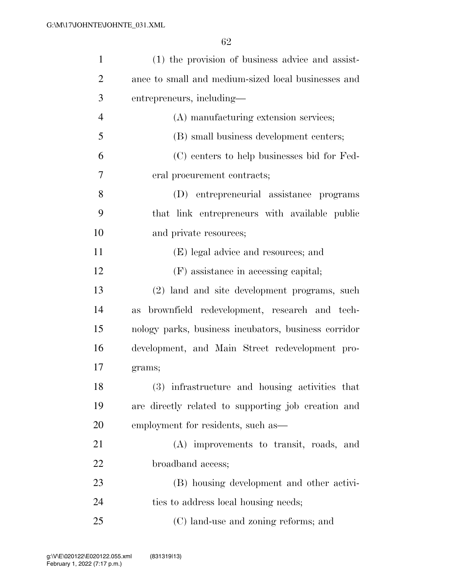| $\mathbf{1}$   | (1) the provision of business advice and assist-          |
|----------------|-----------------------------------------------------------|
| $\overline{2}$ | ance to small and medium-sized local businesses and       |
| 3              | entrepreneurs, including—                                 |
| $\overline{4}$ | (A) manufacturing extension services;                     |
| 5              | (B) small business development centers;                   |
| 6              | (C) centers to help businesses bid for Fed-               |
| 7              | eral procurement contracts;                               |
| 8              | (D) entrepreneurial assistance programs                   |
| 9              | that link entrepreneurs with available public             |
| 10             | and private resources;                                    |
| 11             | (E) legal advice and resources; and                       |
| 12             | (F) assistance in accessing capital;                      |
| 13             | (2) land and site development programs, such              |
| 14             | brownfield redevelopment, research and tech-<br><b>as</b> |
| 15             | nology parks, business incubators, business corridor      |
| 16             | development, and Main Street redevelopment pro-           |
| 17             | grams;                                                    |
| 18             | (3) infrastructure and housing activities that            |
| 19             | are directly related to supporting job creation and       |
| 20             | employment for residents, such as—                        |
| 21             | (A) improvements to transit, roads, and                   |
| 22             | broadband access;                                         |
| 23             | (B) housing development and other activi-                 |
| 24             | ties to address local housing needs;                      |
| 25             | (C) land-use and zoning reforms; and                      |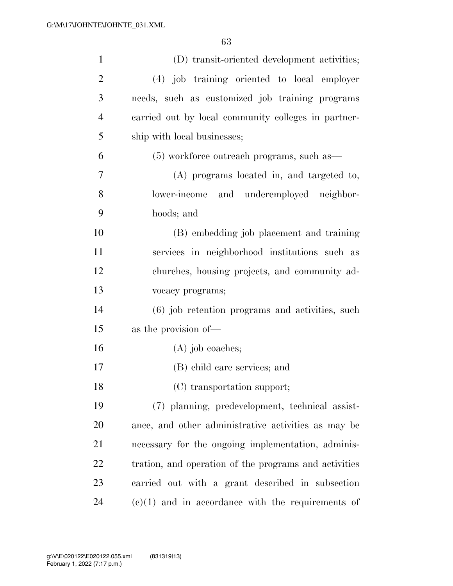| $\mathbf{1}$   | (D) transit-oriented development activities;          |
|----------------|-------------------------------------------------------|
| $\overline{2}$ | (4) job training oriented to local employer           |
| 3              | needs, such as customized job training programs       |
| $\overline{4}$ | carried out by local community colleges in partner-   |
| 5              | ship with local businesses;                           |
| 6              | $(5)$ workforce outreach programs, such as —          |
| 7              | (A) programs located in, and targeted to,             |
| 8              | lower-income and underemployed neighbor-              |
| 9              | hoods; and                                            |
| 10             | (B) embedding job placement and training              |
| 11             | services in neighborhood institutions such as         |
| 12             | churches, housing projects, and community ad-         |
| 13             | vocacy programs;                                      |
| 14             | (6) job retention programs and activities, such       |
| 15             | as the provision of—                                  |
| 16             | $(A)$ job coaches;                                    |
| 17             | (B) child care services; and                          |
| 18             | (C) transportation support;                           |
| 19             | (7) planning, predevelopment, technical assist-       |
| 20             | ance, and other administrative activities as may be   |
| 21             | necessary for the ongoing implementation, adminis-    |
| 22             | tration, and operation of the programs and activities |
| 23             | carried out with a grant described in subsection      |
| 24             | $(e)(1)$ and in accordance with the requirements of   |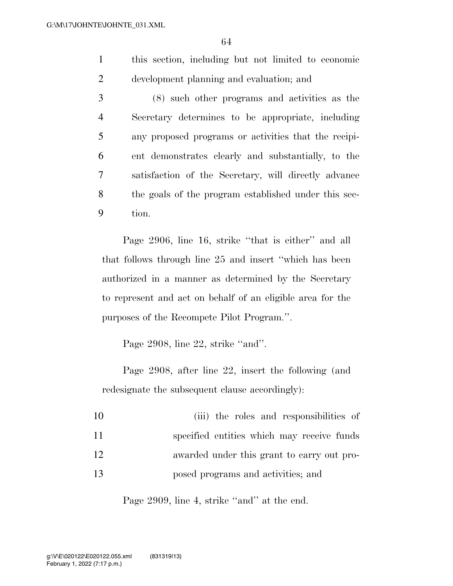1 this section, including but not limited to economic 2 development planning and evaluation; and

 (8) such other programs and activities as the Secretary determines to be appropriate, including any proposed programs or activities that the recipi- ent demonstrates clearly and substantially, to the satisfaction of the Secretary, will directly advance the goals of the program established under this sec-9 tion.

Page 2906, line 16, strike "that is either" and all that follows through line 25 and insert ''which has been authorized in a manner as determined by the Secretary to represent and act on behalf of an eligible area for the purposes of the Recompete Pilot Program.''.

Page 2908, line 22, strike "and".

Page 2908, after line 22, insert the following (and redesignate the subsequent clause accordingly):

| 10 | (iii) the roles and responsibilities of    |
|----|--------------------------------------------|
| 11 | specified entities which may receive funds |
| 12 | awarded under this grant to carry out pro- |
| 13 | posed programs and activities; and         |

Page 2909, line 4, strike "and" at the end.